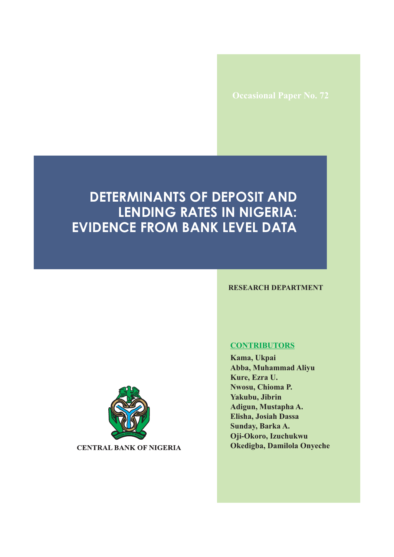# **DETERMINANTS OF DEPOSIT AND LENDING RATES IN NIGERIA: EVIDENCE FROM BANK LEVEL DATA**

#### **RESEARCH DEPARTMENT**



**CENTRAL BANK OF NIGERIA** 

#### **CONTRIBUTORS**

**Kama, Ukpai Abba, Muhammad Aliyu Kure, Ezra U. Nwosu, Chioma P. Yakubu, Jibrin Adigun, Mustapha A. Elisha, Josiah Dassa Sunday, Barka A. Oji-Okoro, Izuchukwu Okedigba, Damilola Onyeche**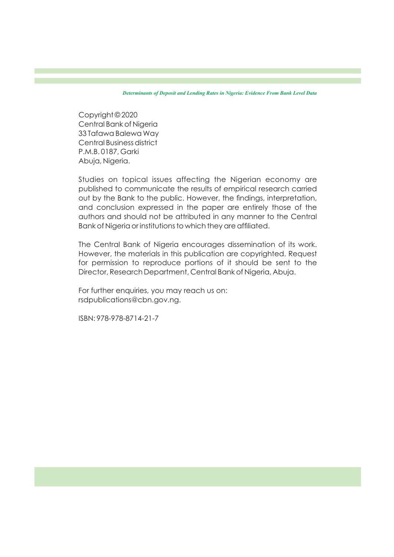Copyright © 2020 Central Bank of Nigeria 33 Tafawa Balewa Way Central Business district P.M.B. 0187, Garki Abuja, Nigeria.

Studies on topical issues affecting the Nigerian economy are published to communicate the results of empirical research carried out by the Bank to the public. However, the findings, interpretation, and conclusion expressed in the paper are entirely those of the authors and should not be attributed in any manner to the Central Bank of Nigeria or institutions to which they are afliated.

The Central Bank of Nigeria encourages dissemination of its work. However, the materials in this publication are copyrighted. Request for permission to reproduce portions of it should be sent to the Director, Research Department, Central Bank of Nigeria, Abuja.

For further enquiries, you may reach us on: rsdpublications@cbn.gov.ng.

ISBN: 978-978-8714-21-7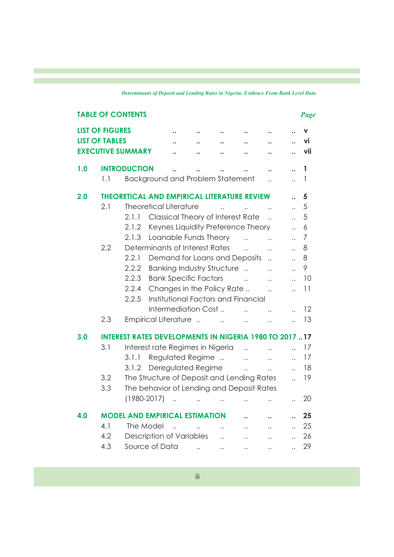|     |                        | <b>TABLE OF CONTENTS</b>                                     |                                     |                          |                       |                       |                       |                       | Page           |
|-----|------------------------|--------------------------------------------------------------|-------------------------------------|--------------------------|-----------------------|-----------------------|-----------------------|-----------------------|----------------|
|     | <b>LIST OF FIGURES</b> |                                                              |                                     |                          |                       |                       |                       |                       | v              |
|     | <b>LIST OF TABLES</b>  |                                                              |                                     |                          |                       |                       |                       | $\ddot{\phantom{a}}$  | ٧İ             |
|     |                        | <b>EXECUTIVE SUMMARY</b>                                     |                                     |                          |                       |                       |                       |                       | vii            |
| 1.0 |                        | <b>INTRODUCTION</b>                                          |                                     |                          |                       |                       |                       | $\ddot{\phantom{a}}$  | 1              |
|     | 1.1                    | <b>Background and Problem Statement</b>                      |                                     |                          |                       |                       |                       | $\ddot{\phantom{a}}$  | $\mathbf{1}$   |
| 2.0 |                        | <b>THEORETICAL AND EMPIRICAL LITERATURE REVIEW</b>           |                                     |                          |                       |                       |                       |                       | 5              |
|     | 2.1                    | <b>Theoretical Literature</b>                                |                                     |                          |                       |                       | $\ddotsc$             | $\ddot{\phantom{a}}$  | 5              |
|     |                        | 2.1.1                                                        | Classical Theory of Interest Rate   |                          |                       |                       | $\ddotsc$             | $\ddot{\phantom{a}}$  | 5              |
|     |                        | 2.1.2                                                        | Keynes Liquidity Preference Theory  |                          |                       |                       |                       | $\ddot{\phantom{0}}$  | 6              |
|     |                        | 2.1.3                                                        | Loanable Funds Theory               |                          |                       | $\sim$                | $\ddotsc$             | $\ddot{\phantom{a}}$  | $\overline{7}$ |
|     | 2.2                    | Determinants of Interest Rates                               |                                     |                          |                       | $\ddot{\phantom{a}}$  | $\dddot{\phantom{0}}$ | $\ddot{\phantom{a}}$  | 8              |
|     |                        | 2.2.1                                                        | Demand for Loans and Deposits       |                          |                       |                       | $\ddot{\phantom{a}}$  | $\dddot{\phantom{0}}$ | 8              |
|     |                        | 2.2.2                                                        | <b>Banking Industry Structure </b>  |                          |                       |                       | $\dddot{\phantom{0}}$ | $\dddot{\phantom{0}}$ | 9              |
|     |                        | 2.2.3                                                        | <b>Bank Specific Factors</b>        |                          |                       | $\sim$ $\sim$         | $\ddotsc$             | $\ddot{\phantom{a}}$  | 10             |
|     |                        | 2.2.4                                                        | Changes in the Policy Rate          |                          |                       |                       | $\dddot{\phantom{0}}$ | $\ddot{\phantom{a}}$  | 11             |
|     |                        | 2.2.5                                                        | Institutional Factors and Financial |                          |                       |                       |                       |                       |                |
|     |                        |                                                              | Intermediation Cost                 |                          |                       | $\ddot{\phantom{a}}$  | $\dddot{\phantom{0}}$ | $\ddot{\phantom{a}}$  | 12             |
|     | 2.3                    | Empirical Literature                                         |                                     |                          |                       | $\ddotsc$             | $\ddotsc$             |                       | 13             |
|     |                        |                                                              |                                     |                          |                       |                       |                       |                       |                |
| 3.0 |                        | <b>INTEREST RATES DEVELOPMENTS IN NIGERIA 1980 TO 201717</b> |                                     |                          |                       |                       |                       |                       |                |
|     | 3.1                    | Interest rate Regimes in Nigeria                             |                                     |                          |                       | $\dddot{\phantom{0}}$ | $\ddotsc$             | $\ddotsc$             | 17             |
|     |                        | 3.1.1                                                        | Regulated Regime                    |                          |                       | $\dddot{\phantom{0}}$ | $\dddot{\phantom{0}}$ | $\ddotsc$             | 17             |
|     |                        | 3.1.2 Deregulated Regime                                     |                                     |                          |                       | $\ddots$              | $\ddot{\phantom{a}}$  | $\ddot{\phantom{a}}$  | 18             |
|     | 3.2                    | The Structure of Deposit and Lending Rates                   |                                     |                          |                       |                       |                       | $\ddot{\phantom{a}}$  | 19             |
|     | 3.3                    | The behavior of Lending and Deposit Rates                    |                                     |                          |                       |                       |                       |                       |                |
|     |                        | $(1980 - 2017)$                                              | $\dddot{\phantom{0}}$               | $\mathbb{R}^2$           | $\dddot{\phantom{0}}$ | $\dddot{\phantom{0}}$ | $\dddot{\phantom{0}}$ |                       | 20             |
| 4.0 |                        | <b>MODEL AND EMPIRICAL ESTIMATION</b>                        |                                     |                          |                       |                       |                       |                       | 25             |
|     | 4.1                    | The Model                                                    | $\ddotsc$                           | $\overline{\phantom{a}}$ | $\dddot{\phantom{0}}$ | $\dddot{\phantom{0}}$ | $\dddot{\phantom{0}}$ | $\ddotsc$             | 25             |
|     | 4.2                    | Description of Variables                                     |                                     |                          | $\dddot{\phantom{0}}$ | $\ddot{\phantom{a}}$  | $\ddot{\phantom{a}}$  | $\dddot{\phantom{0}}$ | 26             |
|     | 4.3                    | Source of Data                                               |                                     |                          | $\ddotsc$             |                       |                       |                       | 29             |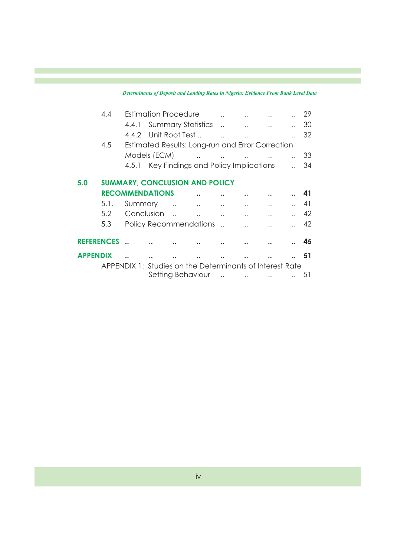|                   | 4.4  |         | <b>Estimation Procedure</b>                              |                                                                         |                       |                                            |           | 29 |
|-------------------|------|---------|----------------------------------------------------------|-------------------------------------------------------------------------|-----------------------|--------------------------------------------|-----------|----|
|                   |      |         | 4.4.1 Summary Statistics                                 |                                                                         |                       | <b>Contract Contract Contract</b>          |           | 30 |
|                   |      |         | 4.4.2 Unit Root Test                                     |                                                                         |                       |                                            |           | 32 |
|                   | 4.5  |         | Estimated Results: Long-run and Error Correction         |                                                                         |                       |                                            |           |    |
|                   |      |         | Models (ECM)                                             |                                                                         |                       | and the contract of the contract of        | $\ddots$  | 33 |
|                   |      |         | 4.5.1 Key Findings and Policy Implications               |                                                                         |                       |                                            |           | 34 |
| 5.0               |      |         | <b>SUMMARY, CONCLUSION AND POLICY</b>                    |                                                                         |                       |                                            |           |    |
|                   |      |         | <b>RECOMMENDATIONS</b>                                   |                                                                         |                       |                                            |           | 41 |
|                   | 5.1. | Summary |                                                          | $\mathbf{r}$ and $\mathbf{r}$ are associated to the set of $\mathbf{r}$ |                       |                                            |           | 41 |
|                   | 5.2  |         | Conclusion                                               |                                                                         |                       |                                            |           | 42 |
|                   | 5.3  |         | Policy Recommendations                                   |                                                                         |                       |                                            |           | 42 |
| <b>REFERENCES</b> |      |         |                                                          |                                                                         |                       |                                            |           | 45 |
| <b>APPENDIX</b>   |      |         |                                                          |                                                                         |                       |                                            |           | 51 |
|                   |      |         | APPENDIX 1: Studies on the Determinants of Interest Rate |                                                                         |                       |                                            |           |    |
|                   |      |         |                                                          | Setting Behaviour                                                       | $\dddot{\phantom{0}}$ | <b>Contract Contract Contract Contract</b> | $\ddotsc$ | 51 |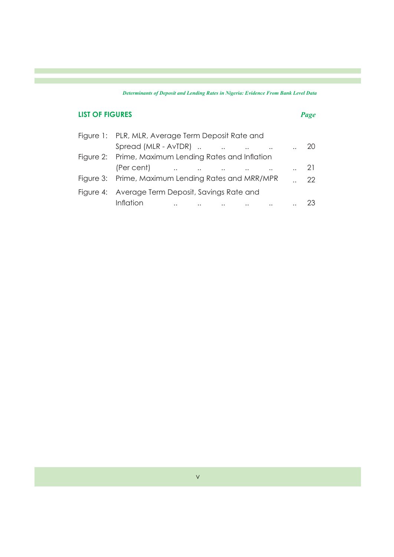# **LIST OF FIGURES** *Page*

| Figure 1: PLR, MLR, Average Term Deposit Rate and    |                                                                                                                 |                         |           |             |      |
|------------------------------------------------------|-----------------------------------------------------------------------------------------------------------------|-------------------------|-----------|-------------|------|
| Spread (MLR - AvTDR)                                 |                                                                                                                 | $\sim 100$ km s $^{-1}$ | $\ddotsc$ |             | 20   |
| Figure 2: Prime, Maximum Lending Rates and Inflation |                                                                                                                 |                         |           |             |      |
| (Per cent)                                           | the contract of the contract of the contract of the contract of the contract of the contract of the contract of |                         |           | $\ldots$ 21 |      |
| Figure 3: Prime, Maximum Lending Rates and MRR/MPR   |                                                                                                                 |                         |           |             | $22$ |
| Figure 4: Average Term Deposit, Savings Rate and     |                                                                                                                 |                         |           |             |      |
| Inflation                                            | $\ddotsc$                                                                                                       |                         |           |             |      |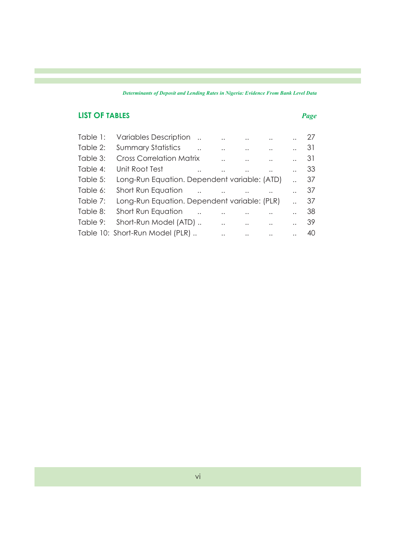## **LIST OF TABLES** *Page*

| Table 1: | <b>Variables Description</b>                 |                      |                      |                      | $\ddot{\phantom{0}}$ |                      | -27 |
|----------|----------------------------------------------|----------------------|----------------------|----------------------|----------------------|----------------------|-----|
| Table 2: | <b>Summary Statistics</b>                    |                      |                      | $\ddot{\phantom{0}}$ |                      |                      | 31  |
| Table 3: | <b>Cross Correlation Matrix</b>              |                      | . .                  | $\ddot{\phantom{a}}$ | $\ddot{\phantom{a}}$ |                      | 31  |
| Table 4: | Unit Root Test                               | $\ddot{\phantom{a}}$ |                      | $\ddot{\phantom{a}}$ |                      |                      | 33  |
| Table 5: | Long-Run Equation. Dependent variable: (ATD) |                      |                      |                      |                      |                      | 37  |
| Table 6: | Short Run Equation                           |                      | $\ddotsc$            |                      |                      |                      | -37 |
| Table 7: | Long-Run Equation. Dependent variable: (PLR) |                      |                      |                      |                      |                      | 37  |
| Table 8: | Short Run Equation                           |                      |                      |                      |                      |                      | 38  |
| Table 9: | Short-Run Model (ATD)                        |                      | . .                  | $\ddot{\phantom{a}}$ | $\ddotsc$            | $\ddot{\phantom{0}}$ | -39 |
|          | Table 10: Short-Run Model (PLR)              |                      | $\ddot{\phantom{a}}$ | $\ddotsc$            | $\ddots$             |                      | 40  |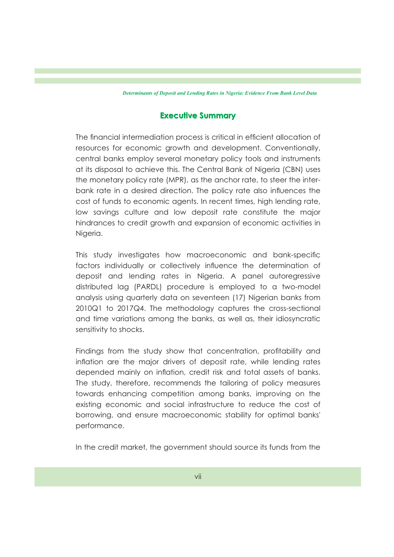### **Executive Summary Executive Summary**

The financial intermediation process is critical in efficient allocation of resources for economic growth and development. Conventionally, central banks employ several monetary policy tools and instruments at its disposal to achieve this. The Central Bank of Nigeria (CBN) uses the monetary policy rate (MPR), as the anchor rate, to steer the interbank rate in a desired direction. The policy rate also influences the cost of funds to economic agents. In recent times, high lending rate, low savings culture and low deposit rate constitute the major hindrances to credit growth and expansion of economic activities in Nigeria.

This study investigates how macroeconomic and bank-specific factors individually or collectively influence the determination of deposit and lending rates in Nigeria. A panel autoregressive distributed lag (PARDL) procedure is employed to a two-model analysis using quarterly data on seventeen (17) Nigerian banks from 2010Q1 to 2017Q4. The methodology captures the cross-sectional and time variations among the banks, as well as, their idiosyncratic sensitivity to shocks.

Findings from the study show that concentration, profitability and inflation are the major drivers of deposit rate, while lending rates depended mainly on inflation, credit risk and total assets of banks. The study, therefore, recommends the tailoring of policy measures towards enhancing competition among banks, improving on the existing economic and social infrastructure to reduce the cost of borrowing, and ensure macroeconomic stability for optimal banks' performance.

In the credit market, the government should source its funds from the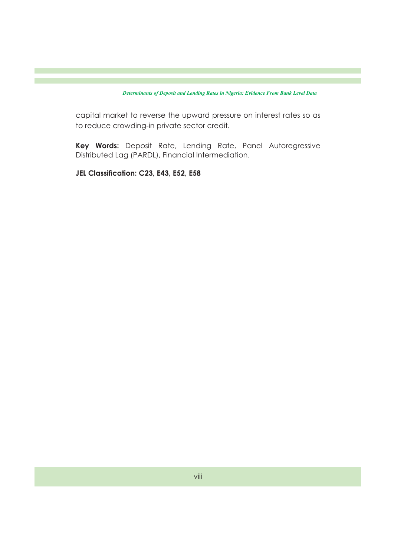capital market to reverse the upward pressure on interest rates so as to reduce crowding-in private sector credit.

**Key Words:** Deposit Rate, Lending Rate, Panel Autoregressive Distributed Lag (PARDL), Financial Intermediation.

**JEL Classification: C23, E43, E52, E58**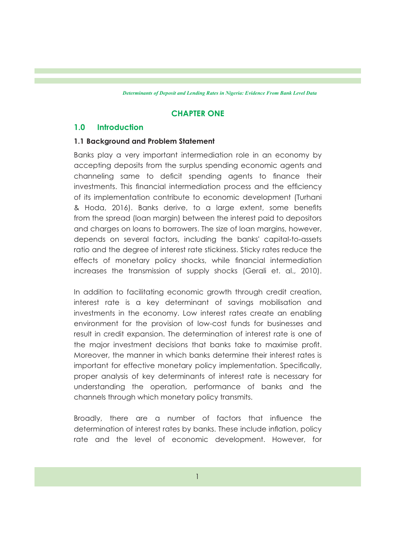### **CHAPTER ONE**

### **1.0 Introduction**

#### **1.1 Background and Problem Statement**

Banks play a very important intermediation role in an economy by accepting deposits from the surplus spending economic agents and channeling same to deficit spending agents to finance their investments. This financial intermediation process and the efficiency of its implementation contribute to economic development (Turhani & Hoda, 2016). Banks derive, to a large extent, some benefits from the spread (loan margin) between the interest paid to depositors and charges on loans to borrowers. The size of loan margins, however, depends on several factors, including the banks' capital-to-assets ratio and the degree of interest rate stickiness. Sticky rates reduce the effects of monetary policy shocks, while financial intermediation increases the transmission of supply shocks (Gerali et. al., 2010).

In addition to facilitating economic growth through credit creation, interest rate is a key determinant of savings mobilisation and investments in the economy. Low interest rates create an enabling environment for the provision of low-cost funds for businesses and result in credit expansion. The determination of interest rate is one of the major investment decisions that banks take to maximise profit. Moreover, the manner in which banks determine their interest rates is important for effective monetary policy implementation. Specifically, proper analysis of key determinants of interest rate is necessary for understanding the operation, performance of banks and the channels through which monetary policy transmits.

Broadly, there are a number of factors that influence the determination of interest rates by banks. These include inflation, policy rate and the level of economic development. However, for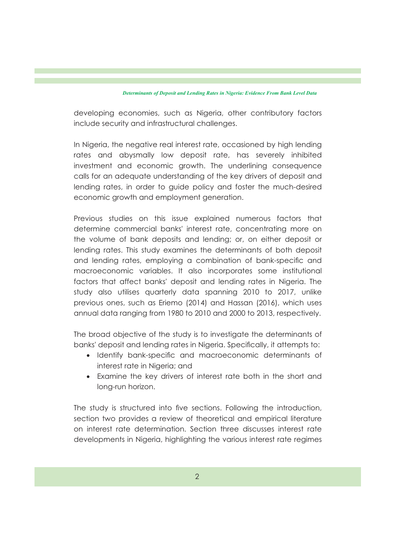developing economies, such as Nigeria, other contributory factors include security and infrastructural challenges.

In Nigeria, the negative real interest rate, occasioned by high lending rates and abysmally low deposit rate, has severely inhibited investment and economic growth. The underlining consequence calls for an adequate understanding of the key drivers of deposit and lending rates, in order to guide policy and foster the much-desired economic growth and employment generation.

Previous studies on this issue explained numerous factors that determine commercial banks' interest rate, concentrating more on the volume of bank deposits and lending; or, on either deposit or lending rates. This study examines the determinants of both deposit and lending rates, employing a combination of bank-specific and macroeconomic variables. It also incorporates some institutional factors that affect banks' deposit and lending rates in Nigeria. The study also utilises quarterly data spanning 2010 to 2017, unlike previous ones, such as Eriemo (2014) and Hassan (2016), which uses annual data ranging from 1980 to 2010 and 2000 to 2013, respectively.

The broad objective of the study is to investigate the determinants of banks' deposit and lending rates in Nigeria. Specifically, it attempts to:

- Identify bank-specific and macroeconomic determinants of interest rate in Nigeria; and
- · Examine the key drivers of interest rate both in the short and long-run horizon.

The study is structured into five sections. Following the introduction, section two provides a review of theoretical and empirical literature on interest rate determination. Section three discusses interest rate developments in Nigeria, highlighting the various interest rate regimes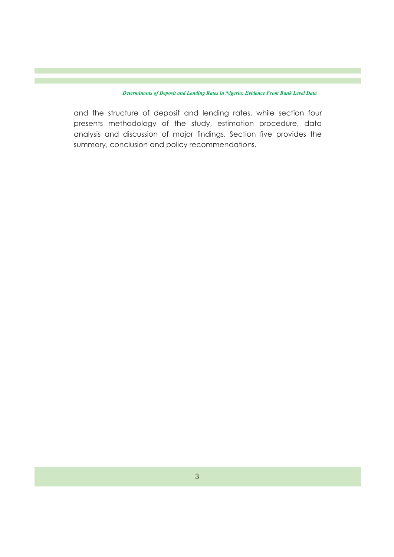and the structure of deposit and lending rates, while section four presents methodology of the study, estimation procedure, data analysis and discussion of major findings. Section five provides the summary, conclusion and policy recommendations.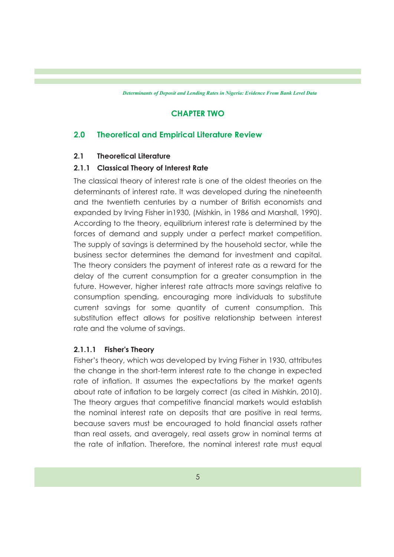### **CHAPTER TWO**

### **2.0 Theoretical and Empirical Literature Review**

### **2.1 Theoretical Literature**

### **2.1.1 Classical Theory of Interest Rate**

The classical theory of interest rate is one of the oldest theories on the determinants of interest rate. It was developed during the nineteenth and the twentieth centuries by a number of British economists and expanded by Irving Fisher in1930, (Mishkin, in 1986 and Marshall, 1990). According to the theory, equilibrium interest rate is determined by the forces of demand and supply under a perfect market competition. The supply of savings is determined by the household sector, while the business sector determines the demand for investment and capital. The theory considers the payment of interest rate as a reward for the delay of the current consumption for a greater consumption in the future. However, higher interest rate attracts more savings relative to consumption spending, encouraging more individuals to substitute current savings for some quantity of current consumption. This substitution effect allows for positive relationship between interest rate and the volume of savings.

### **2.1.1.1 Fisher's Theory**

Fisher's theory, which was developed by Irving Fisher in 1930, attributes the change in the short-term interest rate to the change in expected rate of inflation. It assumes the expectations by the market agents about rate of inflation to be largely correct (as cited in Mishkin, 2010). The theory argues that competitive financial markets would establish the nominal interest rate on deposits that are positive in real terms, because savers must be encouraged to hold nancial assets rather than real assets, and averagely, real assets grow in nominal terms at the rate of inflation. Therefore, the nominal interest rate must equal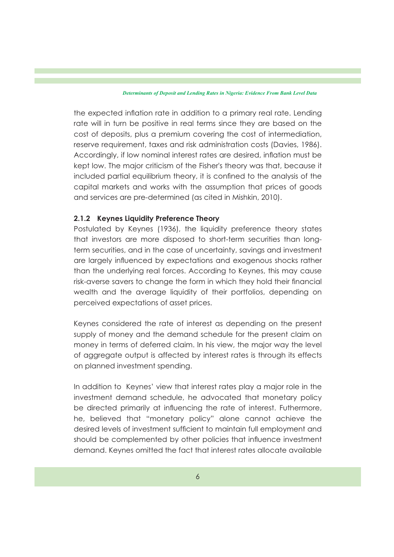the expected inflation rate in addition to a primary real rate. Lending rate will in turn be positive in real terms since they are based on the cost of deposits, plus a premium covering the cost of intermediation, reserve requirement, taxes and risk administration costs (Davies, 1986). Accordingly, if low nominal interest rates are desired, inflation must be kept low. The major criticism of the Fisher's theory was that, because it included partial equilibrium theory, it is confined to the analysis of the capital markets and works with the assumption that prices of goods and services are pre-determined (as cited in Mishkin, 2010).

### **2.1.2 Keynes Liquidity Preference Theory**

Postulated by Keynes (1936), the liquidity preference theory states that investors are more disposed to short-term securities than longterm securities, and in the case of uncertainty, savings and investment are largely influenced by expectations and exogenous shocks rather than the underlying real forces. According to Keynes, this may cause risk-averse savers to change the form in which they hold their financial wealth and the average liquidity of their portfolios, depending on perceived expectations of asset prices.

Keynes considered the rate of interest as depending on the present supply of money and the demand schedule for the present claim on money in terms of deferred claim. In his view, the major way the level of aggregate output is affected by interest rates is through its effects on planned investment spending.

In addition to Keynes' view that interest rates play a major role in the investment demand schedule, he advocated that monetary policy be directed primarily at influencing the rate of interest. Futhermore, he, believed that "monetary policy" alone cannot achieve the desired levels of investment sufficient to maintain full employment and should be complemented by other policies that influence investment demand. Keynes omitted the fact that interest rates allocate available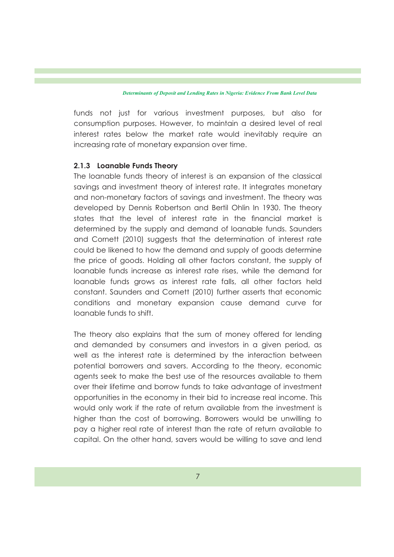funds not just for various investment purposes, but also for consumption purposes. However, to maintain a desired level of real interest rates below the market rate would inevitably require an increasing rate of monetary expansion over time.

#### **2.1.3 Loanable Funds Theory**

The loanable funds theory of interest is an expansion of the classical savings and investment theory of interest rate. It integrates monetary and non-monetary factors of savings and investment. The theory was developed by Dennis Robertson and Bertil Ohlin In 1930. The theory states that the level of interest rate in the financial market is determined by the supply and demand of loanable funds. Saunders and Cornett (2010) suggests that the determination of interest rate could be likened to how the demand and supply of goods determine the price of goods. Holding all other factors constant, the supply of loanable funds increase as interest rate rises, while the demand for loanable funds grows as interest rate falls, all other factors held constant. Saunders and Cornett (2010) further asserts that economic conditions and monetary expansion cause demand curve for loanable funds to shift.

The theory also explains that the sum of money offered for lending and demanded by consumers and investors in a given period, as well as the interest rate is determined by the interaction between potential borrowers and savers. According to the theory, economic agents seek to make the best use of the resources available to them over their lifetime and borrow funds to take advantage of investment opportunities in the economy in their bid to increase real income. This would only work if the rate of return available from the investment is higher than the cost of borrowing. Borrowers would be unwilling to pay a higher real rate of interest than the rate of return available to capital. On the other hand, savers would be willing to save and lend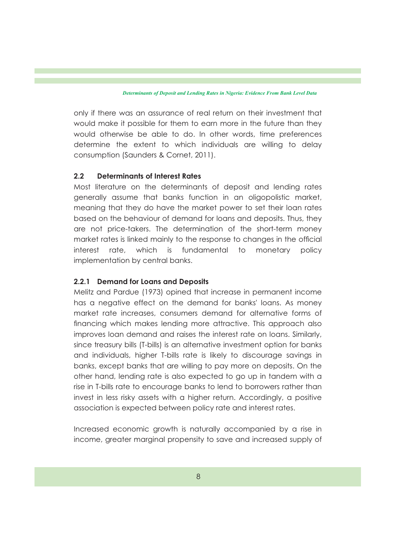only if there was an assurance of real return on their investment that would make it possible for them to earn more in the future than they would otherwise be able to do. In other words, time preferences determine the extent to which individuals are willing to delay consumption (Saunders & Cornet, 2011).

### **2.2 Determinants of Interest Rates**

Most literature on the determinants of deposit and lending rates generally assume that banks function in an oligopolistic market, meaning that they do have the market power to set their loan rates based on the behaviour of demand for loans and deposits. Thus, they are not price-takers. The determination of the short-term money market rates is linked mainly to the response to changes in the official interest rate, which is fundamental to monetary policy implementation by central banks.

#### **2.2.1 Demand for Loans and Deposits**

Melitz and Pardue (1973) opined that increase in permanent income has a negative effect on the demand for banks' loans. As money market rate increases, consumers demand for alternative forms of financing which makes lending more attractive. This approach also improves loan demand and raises the interest rate on loans. Similarly, since treasury bills (T-bills) is an alternative investment option for banks and individuals, higher T-bills rate is likely to discourage savings in banks, except banks that are willing to pay more on deposits. On the other hand, lending rate is also expected to go up in tandem with a rise in T-bills rate to encourage banks to lend to borrowers rather than invest in less risky assets with a higher return. Accordingly, a positive association is expected between policy rate and interest rates.

Increased economic growth is naturally accompanied by a rise in income, greater marginal propensity to save and increased supply of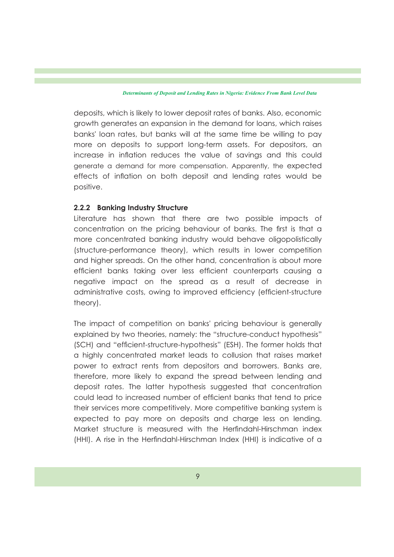deposits, which is likely to lower deposit rates of banks. Also, economic growth generates an expansion in the demand for loans, which raises banks' loan rates, but banks will at the same time be willing to pay more on deposits to support long-term assets. For depositors, an increase in inflation reduces the value of savings and this could generate a demand for more compensation. Apparently, the expected effects of inflation on both deposit and lending rates would be positive.

#### **2.2.2 Banking Industry Structure**

Literature has shown that there are two possible impacts of concentration on the pricing behaviour of banks. The first is that a more concentrated banking industry would behave oligopolistically (structure-performance theory), which results in lower competition and higher spreads. On the other hand, concentration is about more efficient banks taking over less efficient counterparts causing a negative impact on the spread as a result of decrease in administrative costs, owing to improved efficiency (efficient-structure theory).

The impact of competition on banks' pricing behaviour is generally explained by two theories, namely: the "structure-conduct hypothesis" (SCH) and "efficient-structure-hypothesis" (ESH). The former holds that a highly concentrated market leads to collusion that raises market power to extract rents from depositors and borrowers. Banks are, therefore, more likely to expand the spread between lending and deposit rates. The latter hypothesis suggested that concentration could lead to increased number of efficient banks that tend to price their services more competitively. More competitive banking system is expected to pay more on deposits and charge less on lending. Market structure is measured with the Herndahl-Hirschman index (HHI). A rise in the Herndahl-Hirschman Index (HHI) is indicative of a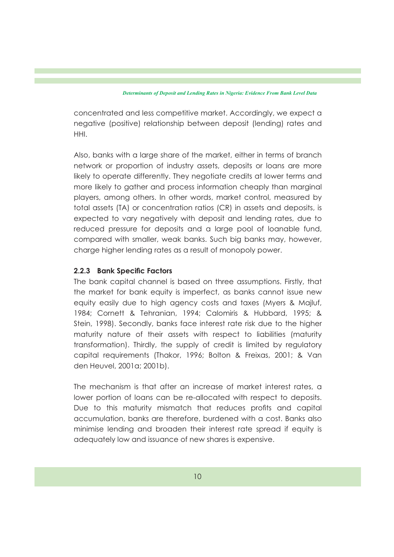concentrated and less competitive market. Accordingly, we expect a negative (positive) relationship between deposit (lending) rates and HHI.

Also, banks with a large share of the market, either in terms of branch network or proportion of industry assets, deposits or loans are more likely to operate differently. They negotiate credits at lower terms and more likely to gather and process information cheaply than marginal players, among others. In other words, market control, measured by total assets (TA) or concentration ratios (CR) in assets and deposits, is expected to vary negatively with deposit and lending rates, due to reduced pressure for deposits and a large pool of loanable fund, compared with smaller, weak banks. Such big banks may, however, charge higher lending rates as a result of monopoly power.

### **2.2.3 Bank Specific Factors**

The bank capital channel is based on three assumptions. Firstly, that the market for bank equity is imperfect, as banks cannot issue new equity easily due to high agency costs and taxes (Myers & Majluf, 1984; Cornett & Tehranian, 1994; Calomiris & Hubbard, 1995; & Stein, 1998). Secondly, banks face interest rate risk due to the higher maturity nature of their assets with respect to liabilities (maturity transformation). Thirdly, the supply of credit is limited by regulatory capital requirements (Thakor, 1996; Bolton & Freixas, 2001; & Van den Heuvel, 2001a; 2001b).

The mechanism is that after an increase of market interest rates, a lower portion of loans can be re-allocated with respect to deposits. Due to this maturity mismatch that reduces profits and capital accumulation, banks are therefore, burdened with a cost. Banks also minimise lending and broaden their interest rate spread if equity is adequately low and issuance of new shares is expensive.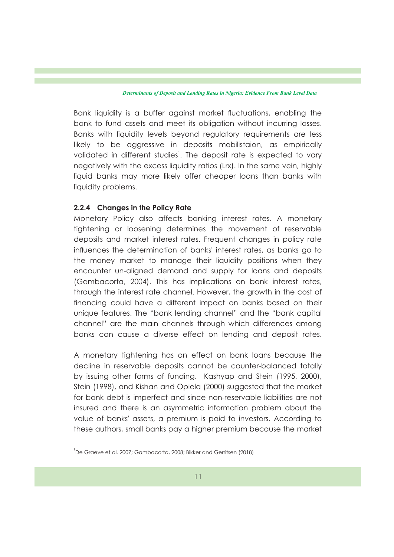Bank liquidity is a buffer against market fluctuations, enabling the bank to fund assets and meet its obligation without incurring losses. Banks with liquidity levels beyond regulatory requirements are less likely to be aggressive in deposits mobilistaion, as empirically validated in different studies<sup>1</sup>. The deposit rate is expected to vary negatively with the excess liquidity ratios (Lrx). In the same vein, highly liquid banks may more likely offer cheaper loans than banks with liquidity problems.

### **2.2.4 Changes in the Policy Rate**

Monetary Policy also affects banking interest rates. A monetary tightening or loosening determines the movement of reservable deposits and market interest rates. Frequent changes in policy rate influences the determination of banks' interest rates, as banks go to the money market to manage their liquidity positions when they encounter un-aligned demand and supply for loans and deposits (Gambacorta, 2004). This has implications on bank interest rates, through the interest rate channel. However, the growth in the cost of financing could have a different impact on banks based on their unique features. The "bank lending channel" and the "bank capital channel" are the main channels through which differences among banks can cause a diverse effect on lending and deposit rates.

A monetary tightening has an effect on bank loans because the decline in reservable deposits cannot be counter-balanced totally by issuing other forms of funding. Kashyap and Stein (1995, 2000), Stein (1998), and Kishan and Opiela (2000) suggested that the market for bank debt is imperfect and since non-reservable liabilities are not insured and there is an asymmetric information problem about the value of banks' assets, a premium is paid to investors. According to these authors, small banks pay a higher premium because the market

<sup>1</sup> De Graeve et al. 2007; Gambacorta, 2008; Bikker and Gerritsen (2018)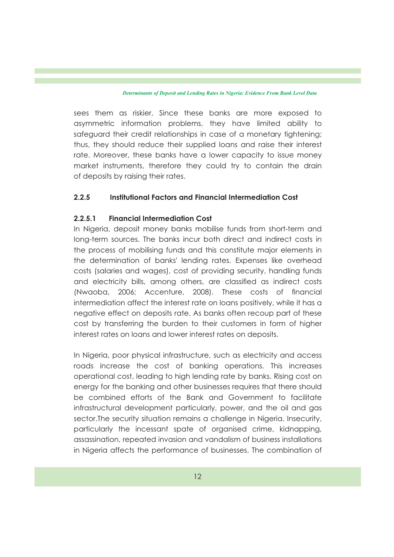sees them as riskier. Since these banks are more exposed to asymmetric information problems, they have limited ability to safeguard their credit relationships in case of a monetary tightening; thus, they should reduce their supplied loans and raise their interest rate. Moreover, these banks have a lower capacity to issue money market instruments, therefore they could try to contain the drain of deposits by raising their rates.

### **2.2.5 Institutional Factors and Financial Intermediation Cost**

### **2.2.5.1 Financial Intermediation Cost**

In Nigeria, deposit money banks mobilise funds from short-term and long-term sources. The banks incur both direct and indirect costs in the process of mobilising funds and this constitute major elements in the determination of banks' lending rates. Expenses like overhead costs (salaries and wages), cost of providing security, handling funds and electricity bills, among others, are classified as indirect costs (Nwaoba, 2006; Accenture, 2008). These costs of financial intermediation affect the interest rate on loans positively, while it has a negative effect on deposits rate. As banks often recoup part of these cost by transferring the burden to their customers in form of higher interest rates on loans and lower interest rates on deposits.

In Nigeria, poor physical infrastructure, such as electricity and access roads increase the cost of banking operations. This increases operational cost, leading to high lending rate by banks. Rising cost on energy for the banking and other businesses requires that there should be combined efforts of the Bank and Government to facilitate infrastructural development particularly, power, and the oil and gas sector.The security situation remains a challenge in Nigeria. Insecurity, particularly the incessant spate of organised crime, kidnapping, assassination, repeated invasion and vandalism of business installations in Nigeria affects the performance of businesses. The combination of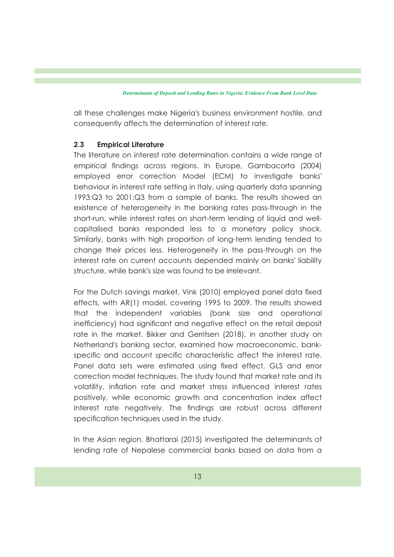all these challenges make Nigeria's business environment hostile, and consequently affects the determination of interest rate.

### **2.3 Empirical Literature**

The literature on interest rate determination contains a wide range of empirical findings across regions. In Europe, Gambacorta (2004) employed error correction Model (ECM) to investigate banks' behaviour in interest rate setting in Italy, using quarterly data spanning 1993:Q3 to 2001:Q3 from a sample of banks. The results showed an existence of heterogeneity in the banking rates pass-through in the short-run, while interest rates on short-term lending of liquid and wellcapitalised banks responded less to a monetary policy shock. Similarly, banks with high proportion of long-term lending tended to change their prices less. Heterogeneity in the pass-through on the interest rate on current accounts depended mainly on banks' liability structure, while bank's size was found to be irrelevant.

For the Dutch savings market, Vink (2010) employed panel data fixed effects, with AR(1) model, covering 1995 to 2009. The results showed that the independent variables (bank size and operational inefficiency) had significant and negative effect on the retail deposit rate in the market. Bikker and Gerritsen (2018), in another study on Netherland's banking sector, examined how macroeconomic, bankspecific and account specific characteristic affect the interest rate. Panel data sets were estimated using fixed effect, GLS and error correction model techniques. The study found that market rate and its volatility, inflation rate and market stress influenced interest rates positively, while economic growth and concentration index affect interest rate negatively. The findings are robust across different specification techniques used in the study.

In the Asian region, Bhattarai (2015) investigated the determinants of lending rate of Nepalese commercial banks based on data from a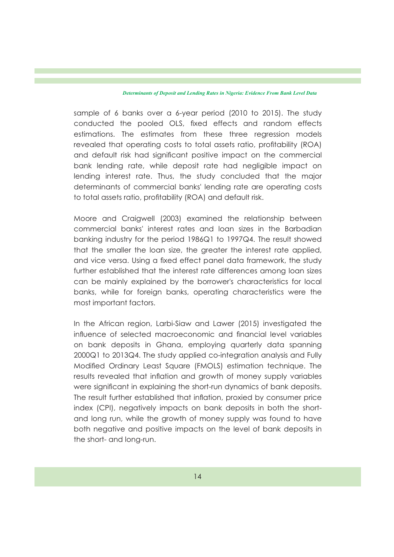sample of 6 banks over a 6-year period (2010 to 2015). The study conducted the pooled OLS, fixed effects and random effects estimations. The estimates from these three regression models revealed that operating costs to total assets ratio, profitability (ROA) and default risk had signicant positive impact on the commercial bank lending rate, while deposit rate had negligible impact on lending interest rate. Thus, the study concluded that the major determinants of commercial banks' lending rate are operating costs to total assets ratio, profitability (ROA) and default risk.

Moore and Craigwell (2003) examined the relationship between commercial banks' interest rates and loan sizes in the Barbadian banking industry for the period 1986Q1 to 1997Q4. The result showed that the smaller the loan size, the greater the interest rate applied, and vice versa. Using a fixed effect panel data framework, the study further established that the interest rate differences among loan sizes can be mainly explained by the borrower's characteristics for local banks, while for foreign banks, operating characteristics were the most important factors.

In the African region, Larbi-Siaw and Lawer (2015) investigated the influence of selected macroeconomic and financial level variables on bank deposits in Ghana, employing quarterly data spanning 2000Q1 to 2013Q4. The study applied co-integration analysis and Fully Modied Ordinary Least Square (FMOLS) estimation technique. The results revealed that inflation and growth of money supply variables were significant in explaining the short-run dynamics of bank deposits. The result further established that inflation, proxied by consumer price index (CPI), negatively impacts on bank deposits in both the shortand long run, while the growth of money supply was found to have both negative and positive impacts on the level of bank deposits in the short- and long-run.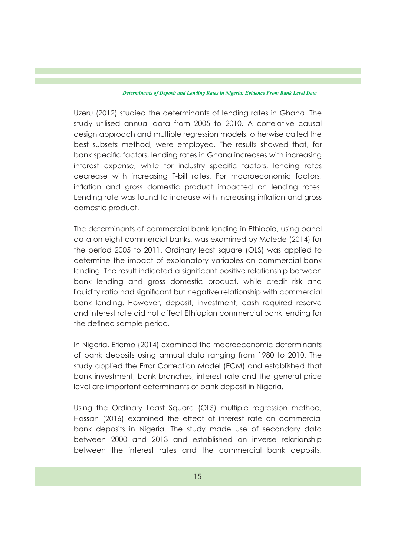Uzeru (2012) studied the determinants of lending rates in Ghana. The study utilised annual data from 2005 to 2010. A correlative causal design approach and multiple regression models, otherwise called the best subsets method, were employed. The results showed that, for bank specific factors, lending rates in Ghana increases with increasing interest expense, while for industry specific factors, lending rates decrease with increasing T-bill rates. For macroeconomic factors, inflation and gross domestic product impacted on lending rates. Lending rate was found to increase with increasing inflation and gross domestic product.

The determinants of commercial bank lending in Ethiopia, using panel data on eight commercial banks, was examined by Malede (2014) for the period 2005 to 2011. Ordinary least square (OLS) was applied to determine the impact of explanatory variables on commercial bank lending. The result indicated a signicant positive relationship between bank lending and gross domestic product, while credit risk and liquidity ratio had significant but negative relationship with commercial bank lending. However, deposit, investment, cash required reserve and interest rate did not affect Ethiopian commercial bank lending for the defined sample period.

In Nigeria, Eriemo (2014) examined the macroeconomic determinants of bank deposits using annual data ranging from 1980 to 2010. The study applied the Error Correction Model (ECM) and established that bank investment, bank branches, interest rate and the general price level are important determinants of bank deposit in Nigeria.

Using the Ordinary Least Square (OLS) multiple regression method, Hassan (2016) examined the effect of interest rate on commercial bank deposits in Nigeria. The study made use of secondary data between 2000 and 2013 and established an inverse relationship between the interest rates and the commercial bank deposits.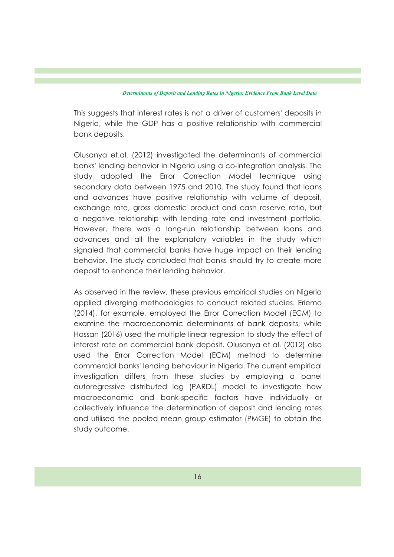This suggests that interest rates is not a driver of customers' deposits in Nigeria, while the GDP has a positive relationship with commercial bank deposits.

Olusanya et.al. (2012) investigated the determinants of commercial banks' lending behavior in Nigeria using a co-integration analysis. The study adopted the Error Correction Model technique using secondary data between 1975 and 2010. The study found that loans and advances have positive relationship with volume of deposit, exchange rate, gross domestic product and cash reserve ratio, but a negative relationship with lending rate and investment portfolio. However, there was a long-run relationship between loans and advances and all the explanatory variables in the study which signaled that commercial banks have huge impact on their lending behavior. The study concluded that banks should try to create more deposit to enhance their lending behavior.

As observed in the review, these previous empirical studies on Nigeria applied diverging methodologies to conduct related studies. Eriemo (2014), for example, employed the Error Correction Model (ECM) to examine the macroeconomic determinants of bank deposits, while Hassan (2016) used the multiple linear regression to study the effect of interest rate on commercial bank deposit. Olusanya et al. (2012) also used the Error Correction Model (ECM) method to determine commercial banks' lending behaviour in Nigeria. The current empirical investigation differs from these studies by employing a panel autoregressive distributed lag (PARDL) model to investigate how macroeconomic and bank-specific factors have individually or collectively influence the determination of deposit and lending rates and utilised the pooled mean group estimator (PMGE) to obtain the study outcome.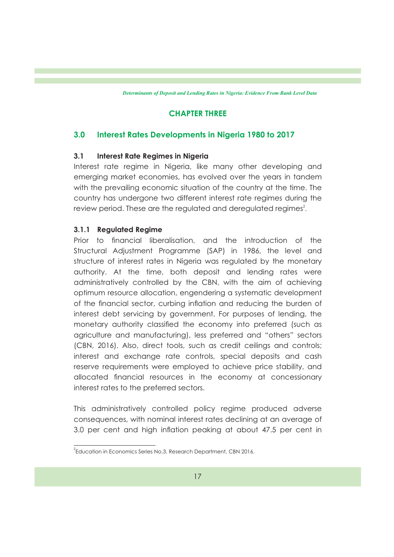## **CHAPTER THREE**

### **3.0 Interest Rates Developments in Nigeria 1980 to 2017**

### **3.1 Interest Rate Regimes in Nigeria**

Interest rate regime in Nigeria, like many other developing and emerging market economies, has evolved over the years in tandem with the prevailing economic situation of the country at the time. The country has undergone two different interest rate regimes during the review period. These are the regulated and deregulated regimes $^2$ .

### **3.1.1 Regulated Regime**

Prior to financial liberalisation, and the introduction of the Structural Adjustment Programme (SAP) in 1986, the level and structure of interest rates in Nigeria was regulated by the monetary authority. At the time, both deposit and lending rates were administratively controlled by the CBN, with the aim of achieving optimum resource allocation, engendering a systematic development of the financial sector, curbing inflation and reducing the burden of interest debt servicing by government. For purposes of lending, the monetary authority classied the economy into preferred (such as agriculture and manufacturing), less preferred and "others" sectors (CBN, 2016). Also, direct tools, such as credit ceilings and controls; interest and exchange rate controls, special deposits and cash reserve requirements were employed to achieve price stability, and allocated financial resources in the economy at concessionary interest rates to the preferred sectors.

This administratively controlled policy regime produced adverse consequences, with nominal interest rates declining at an average of 3.0 per cent and high inflation peaking at about 47.5 per cent in

 $^2$ Education in Economics Series No.3, Research Department, CBN 2016.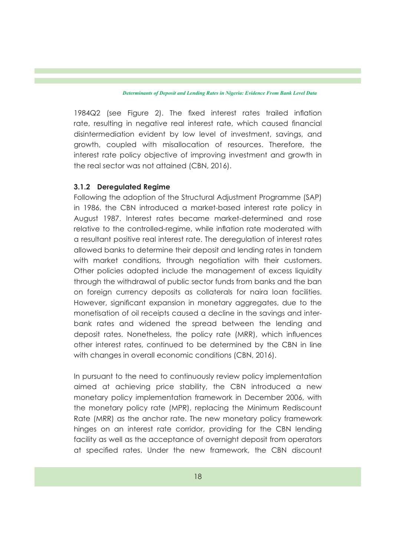$1984Q2$  (see Figure 2). The fixed interest rates trailed inflation rate, resulting in negative real interest rate, which caused financial disintermediation evident by low level of investment, savings, and growth, coupled with misallocation of resources. Therefore, the interest rate policy objective of improving investment and growth in the real sector was not attained (CBN, 2016).

### **3.1.2 Deregulated Regime**

Following the adoption of the Structural Adjustment Programme (SAP) in 1986, the CBN introduced a market-based interest rate policy in August 1987. Interest rates became market-determined and rose relative to the controlled-regime, while inflation rate moderated with a resultant positive real interest rate. The deregulation of interest rates allowed banks to determine their deposit and lending rates in tandem with market conditions, through negotiation with their customers. Other policies adopted include the management of excess liquidity through the withdrawal of public sector funds from banks and the ban on foreign currency deposits as collaterals for naira loan facilities. However, significant expansion in monetary aggregates, due to the monetisation of oil receipts caused a decline in the savings and interbank rates and widened the spread between the lending and deposit rates. Nonetheless, the policy rate (MRR), which influences other interest rates, continued to be determined by the CBN in line with changes in overall economic conditions (CBN, 2016).

In pursuant to the need to continuously review policy implementation aimed at achieving price stability, the CBN introduced a new monetary policy implementation framework in December 2006, with the monetary policy rate (MPR), replacing the Minimum Rediscount Rate (MRR) as the anchor rate. The new monetary policy framework hinges on an interest rate corridor, providing for the CBN lending facility as well as the acceptance of overnight deposit from operators at specified rates. Under the new framework, the CBN discount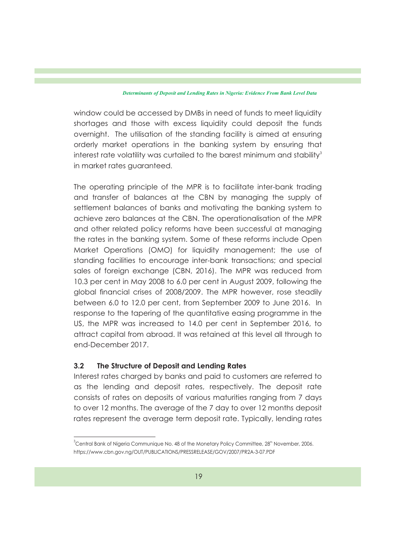window could be accessed by DMBs in need of funds to meet liquidity shortages and those with excess liquidity could deposit the funds overnight. The utilisation of the standing facility is aimed at ensuring orderly market operations in the banking system by ensuring that interest rate volatility was curtailed to the barest minimum and stability $^3$ in market rates guaranteed.

The operating principle of the MPR is to facilitate inter-bank trading and transfer of balances at the CBN by managing the supply of settlement balances of banks and motivating the banking system to achieve zero balances at the CBN. The operationalisation of the MPR and other related policy reforms have been successful at managing the rates in the banking system. Some of these reforms include Open Market Operations (OMO) for liquidity management; the use of standing facilities to encourage inter-bank transactions; and special sales of foreign exchange (CBN, 2016). The MPR was reduced from 10.3 per cent in May 2008 to 6.0 per cent in August 2009, following the global financial crises of 2008/2009. The MPR however, rose steadily between 6.0 to 12.0 per cent, from September 2009 to June 2016. In response to the tapering of the quantitative easing programme in the US, the MPR was increased to 14.0 per cent in September 2016, to attract capital from abroad. It was retained at this level all through to end-December 2017.

#### **3.2 The Structure of Deposit and Lending Rates**

Interest rates charged by banks and paid to customers are referred to as the lending and deposit rates, respectively. The deposit rate consists of rates on deposits of various maturities ranging from 7 days to over 12 months. The average of the 7 day to over 12 months deposit rates represent the average term deposit rate. Typically, lending rates

 $3$  Central Bank of Nigeria Communique No. 48 of the Monetary Policy Committee,  $28<sup>th</sup>$  November, 2006. https://www.cbn.gov.ng/OUT/PUBLICATIONS/PRESSRELEASE/GOV/2007/PR2A-3-07.PDF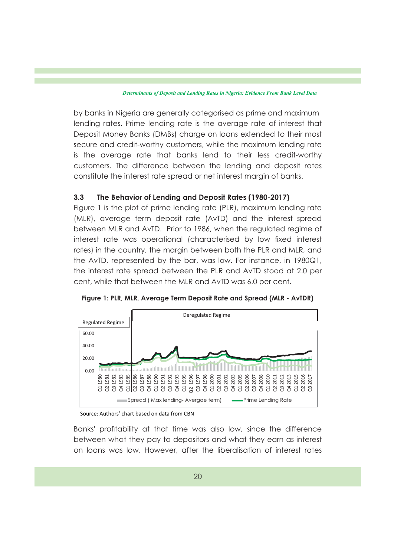by banks in Nigeria are generally categorised as prime and maximum lending rates. Prime lending rate is the average rate of interest that Deposit Money Banks (DMBs) charge on loans extended to their most secure and credit-worthy customers, while the maximum lending rate is the average rate that banks lend to their less credit-worthy customers. The difference between the lending and deposit rates constitute the interest rate spread or net interest margin of banks.

### **3.3 The Behavior of Lending and Deposit Rates (1980-2017)**

Figure 1 is the plot of prime lending rate (PLR), maximum lending rate (MLR), average term deposit rate (AvTD) and the interest spread between MLR and AvTD. Prior to 1986, when the regulated regime of interest rate was operational (characterised by low fixed interest rates) in the country, the margin between both the PLR and MLR, and the AvTD, represented by the bar, was low. For instance, in 1980Q1, the interest rate spread between the PLR and AvTD stood at 2.0 per cent, while that between the MLR and AvTD was 6.0 per cent.



**Figure 1: PLR, MLR, Average Term Deposit Rate and Spread (MLR - AvTDR)**

Source: Authors' chart based on data from CBN

Banks' profitability at that time was also low, since the difference between what they pay to depositors and what they earn as interest on loans was low. However, after the liberalisation of interest rates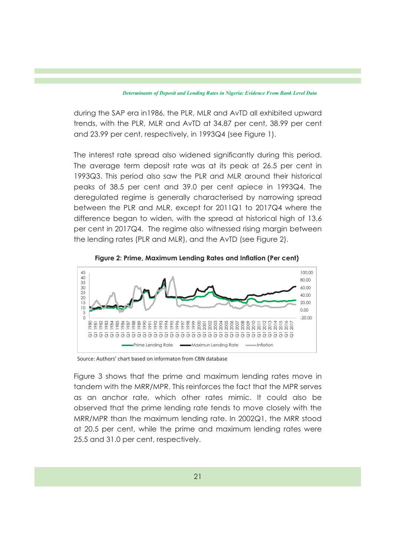during the SAP era in1986, the PLR, MLR and AvTD all exhibited upward trends, with the PLR, MLR and AvTD at 34.87 per cent, 38.99 per cent and 23.99 per cent, respectively, in 1993Q4 (see Figure 1).

The interest rate spread also widened significantly during this period. The average term deposit rate was at its peak at 26.5 per cent in 1993Q3. This period also saw the PLR and MLR around their historical peaks of 38.5 per cent and 39.0 per cent apiece in 1993Q4. The deregulated regime is generally characterised by narrowing spread between the PLR and MLR, except for 2011Q1 to 2017Q4 where the difference began to widen, with the spread at historical high of 13.6 per cent in 2017Q4. The regime also witnessed rising margin between the lending rates (PLR and MLR), and the AvTD (see Figure 2).





Source: Authors' chart based on informaton from CBN database

Figure 3 shows that the prime and maximum lending rates move in tandem with the MRR/MPR. This reinforces the fact that the MPR serves as an anchor rate, which other rates mimic. It could also be observed that the prime lending rate tends to move closely with the MRR/MPR than the maximum lending rate. In 2002Q1, the MRR stood at 20.5 per cent, while the prime and maximum lending rates were 25.5 and 31.0 per cent, respectively.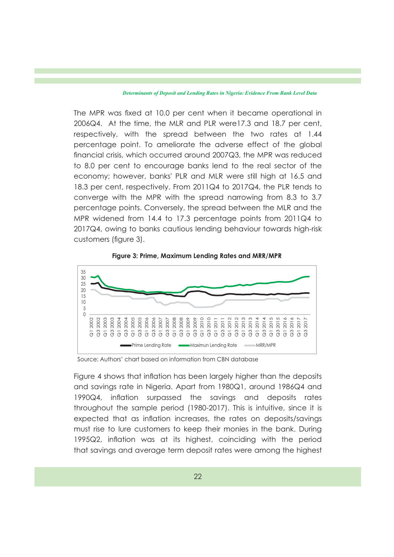The MPR was fixed at 10.0 per cent when it became operational in 2006Q4. At the time, the MLR and PLR were17.3 and 18.7 per cent, respectively, with the spread between the two rates at 1.44 percentage point. To ameliorate the adverse effect of the global financial crisis, which occurred around 2007Q3, the MPR was reduced to 8.0 per cent to encourage banks lend to the real sector of the economy; however, banks' PLR and MLR were still high at 16.5 and 18.3 per cent, respectively. From 2011Q4 to 2017Q4, the PLR tends to converge with the MPR with the spread narrowing from 8.3 to 3.7 percentage points. Conversely, the spread between the MLR and the MPR widened from 14.4 to 17.3 percentage points from 2011Q4 to 2017Q4, owing to banks cautious lending behaviour towards high-risk customers (figure 3).



**Figure 3: Prime, Maximum Lending Rates and MRR/MPR** 

Source: Authors' chart based on information from CBN database

Figure 4 shows that inflation has been largely higher than the deposits and savings rate in Nigeria. Apart from 1980Q1, around 1986Q4 and 1990Q4, inflation surpassed the savings and deposits rates throughout the sample period (1980-2017). This is intuitive, since it is expected that as inflation increases, the rates on deposits/savings must rise to lure customers to keep their monies in the bank. During 1995Q2, inflation was at its highest, coinciding with the period that savings and average term deposit rates were among the highest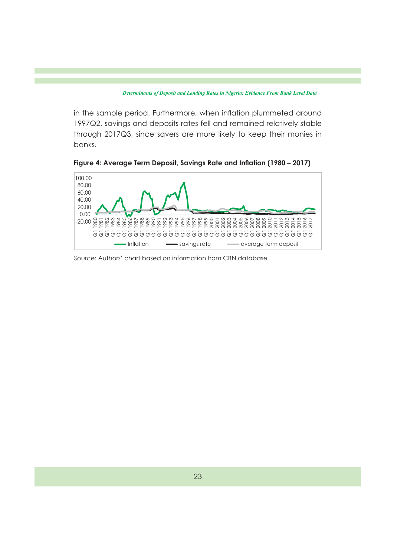in the sample period. Furthermore, when inflation plummeted around 1997Q2, savings and deposits rates fell and remained relatively stable through 2017Q3, since savers are more likely to keep their monies in banks.

Figure 4: Average Term Deposit, Savings Rate and Inflation (1980 – 2017)



Source: Authors' chart based on information from CBN database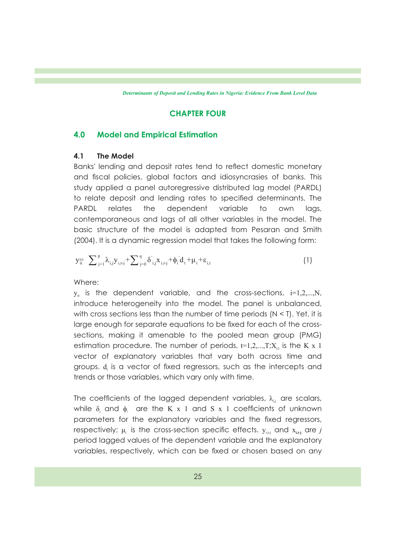### **CHAPTER FOUR**

### **4.0 Model and Empirical Estimation**

### **4.1 The Model**

Banks' lending and deposit rates tend to reflect domestic monetary and fiscal policies, global factors and idiosyncrasies of banks. This study applied a panel autoregressive distributed lag model (PARDL) to relate deposit and lending rates to specified determinants. The PARDL relates the dependent variable to own lags, contemporaneous and lags of all other variables in the model. The basic structure of the model is adapted from Pesaran and Smith (2004). It is a dynamic regression model that takes the following form:

$$
y_{\overline{it}} = \sum_{j=1}^{p} \lambda_{i,j} y_{i,t,j} + \sum_{j=0}^{q} \delta'_{i,j} x_{i,t,j} + \phi_i d_t + \mu_i + \varepsilon_{i,t}
$$
 (1)

Where:

 $y_i$  is the dependent variable, and the cross-sections,  $i=1,2,...,N$ , introduce heterogeneity into the model. The panel is unbalanced, with cross sections less than the number of time periods  $(N < I)$ . Yet, it is large enough for separate equations to be fixed for each of the crosssections, making it amenable to the pooled mean group (PMG) estimation procedure. The number of periods,  $t=1,2,...,T;X_{i,t}$  is the K x 1 vector of explanatory variables that vary both across time and groups. d, is a vector of fixed regressors, such as the intercepts and trends or those variables, which vary only with time.

The coefficients of the lagged dependent variables,  $\lambda_{i,j}$  are scalars, while  $\delta_i$  and  $\phi_i$  are the K x 1 and S x 1 coefficients of unknown parameters for the explanatory variables and the fixed regressors, respectively;  $\mu_i$  is the cross-section specific effects.  $y_{i,t}$  and  $x_{i,t}$  are *j* period lagged values of the dependent variable and the explanatory variables, respectively, which can be fixed or chosen based on any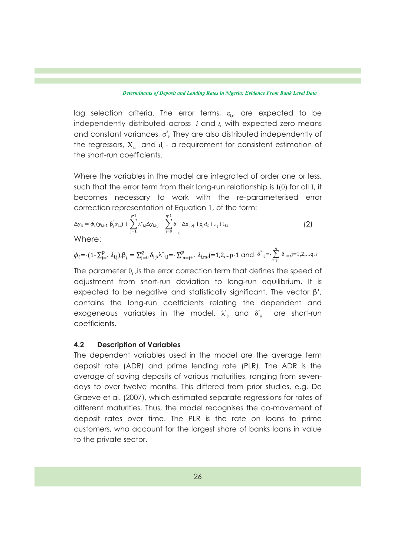lag selection criteria. The error terms,  $\varepsilon_{\text{in}}$  are expected to be independently distributed across *i* and *t,* with expected zero means and constant variances,  $\sigma^2$ . They are also distributed independently of the regressors,  $X_{i,t}$  and  $d_t$  - a requirement for consistent estimation of the short-run coefficients.

Where the variables in the model are integrated of order one or less, such that the error term from their long-run relationship is I(0) for all I, it becomes necessary to work with the re-parameterised error correction representation of Equation 1, of the form:

$$
\Delta y_{it} = \phi_i(y_{i,t-1} - \beta_i x_{i,t}) + \sum_{j=1}^{p-1} \lambda^*_{i,j} \Delta y_{i,t-j} + \sum_{j=0}^{q-1} \delta_j' \Delta x_{i,t-j} + \chi_i d_t + \mu_i + \varepsilon_{i,t}
$$
\n(2)

Where:

$$
\phi_i = -(1 - \sum_{j=1}^p \lambda_{i,j}), \beta_i = \sum_{j=0}^q \delta_{i,j}, \lambda^*_{i,j} = -\sum_{m=j+1}^p \lambda_{i,m}, j=1,2,...p-1 \text{ and } \delta^*_{i,j} = -\sum_{m=j+1}^q \delta_{i,m}, j=1,2,...q-i
$$

The parameter  $\theta_i$ , is the error correction term that defines the speed of adjustment from short-run deviation to long-run equilibrium. It is expected to be negative and statistically significant. The vector  $\beta'$ , contains the long-run coefficients relating the dependent and exogeneous variables in the model.  $\lambda_{ij}^*$  and  $\delta_{ij}^*$  are short-run coefficients.

### **4.2 Description of Variables**

The dependent variables used in the model are the average term deposit rate (ADR) and prime lending rate (PLR). The ADR is the average of saving deposits of various maturities, ranging from sevendays to over twelve months. This differed from prior studies, e.g. De Graeve et al. (2007), which estimated separate regressions for rates of different maturities. Thus, the model recognises the co-movement of deposit rates over time. The PLR is the rate on loans to prime customers, who account for the largest share of banks loans in value to the private sector.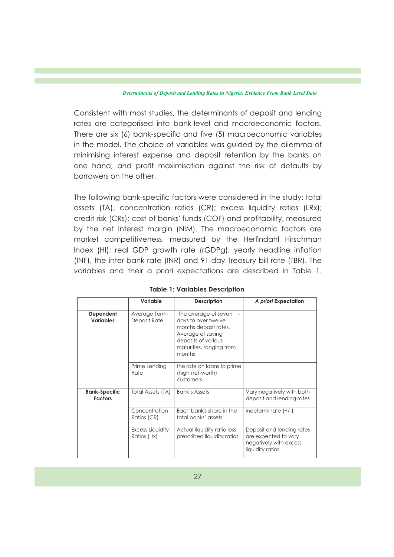Consistent with most studies, the determinants of deposit and lending rates are categorised into bank-level and macroeconomic factors. There are six (6) bank-specific and five (5) macroeconomic variables in the model. The choice of variables was guided by the dilemma of minimising interest expense and deposit retention by the banks on one hand, and profit maximisation against the risk of defaults by borrowers on the other.

The following bank-specific factors were considered in the study: total assets (TA), concentration ratios (CR); excess liquidity ratios (LRx); credit risk (CRs); cost of banks' funds (COF) and profitability, measured by the net interest margin (NIM). The macroeconomic factors are market competitiveness, measured by the Herfindahl Hirschman Index (HI); real GDP growth rate (rGDPg), yearly headline inflation (INF), the inter-bank rate (INR) and 91-day Treasury bill rate (TBR). The variables and their a priori expectations are described in Table 1.

|                                        | Variable                         | <b>Description</b>                                                                                                                                     | A priori Expectation                                                                            |
|----------------------------------------|----------------------------------|--------------------------------------------------------------------------------------------------------------------------------------------------------|-------------------------------------------------------------------------------------------------|
| Dependent<br><b>Variables</b>          | Average Term-<br>Deposit Rate    | The average of seven<br>days to over twelve<br>months deposit rates.<br>Average of saving<br>deposits of various<br>maturities, ranging from<br>months |                                                                                                 |
|                                        | Prime Lending<br>Rate            | the rate on loans to prime<br>(high net-worth)<br>customers                                                                                            |                                                                                                 |
| <b>Bank-Specific</b><br><b>Factors</b> | Total Assets (TA)                | <b>Bank's Assets</b>                                                                                                                                   | Vary negatively with both<br>deposit and lending rates                                          |
|                                        | Concentration<br>Ratios (CR)     | Each bank's share in the<br>total banks' assets                                                                                                        | indeterminate $(+/-)$                                                                           |
|                                        | Excess Liquidity<br>Ratios (Lrx) | Actual liquidity ratio less<br>prescribed liquidity ratios                                                                                             | Deposit and lending rates<br>are expected to vary<br>negatively with excess<br>liquidity ratios |

|  |  |  | <b>Table 1: Variables Description</b> |
|--|--|--|---------------------------------------|
|--|--|--|---------------------------------------|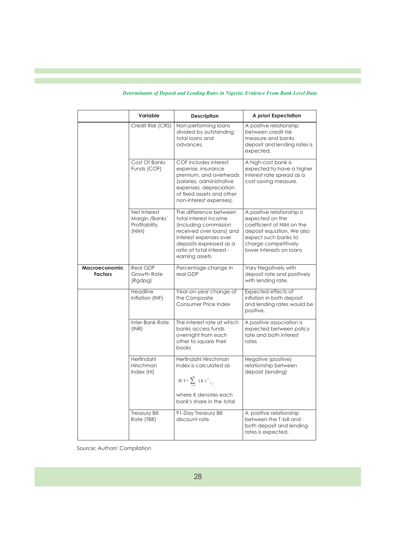|                                 | Variable                                                 | <b>Description</b>                                                                                                                                                                                      | A priori Expectation                                                                                                                                                                |
|---------------------------------|----------------------------------------------------------|---------------------------------------------------------------------------------------------------------------------------------------------------------------------------------------------------------|-------------------------------------------------------------------------------------------------------------------------------------------------------------------------------------|
|                                 | Credit Risk (CRS)                                        | Non-performing loans<br>divided by outstanding<br>total loans and<br>advances.                                                                                                                          | A positive relationship<br>between credit risk<br>measure and banks<br>deposit and lending rates is<br>expected.                                                                    |
|                                 | Cost Of Banks<br>Funds (COF)                             | COF includes interest<br>expense, insurance<br>premium, and overheads<br>(salaries, administrative<br>expenses, depreciation<br>of fixed assets and other<br>non-interest expenses).                    | A high-cost bank is<br>expected to have a higher<br>interest rate spread as a<br>cost-saving measure.                                                                               |
|                                 | Net Interest<br>Margin /Banks'<br>Profitability<br>(NIM) | The difference between<br>total interest income<br>(including commission<br>received over loans) and<br>interest expenses over<br>deposits expressed as a<br>ratio of total interest-<br>earning assets | A positive relationship is<br>expected on the<br>coefficient of NIM on the<br>deposit equation. We also<br>expect such banks to<br>charge competitively<br>lower interests on loans |
| Macroeconomic<br><b>Factors</b> | <b>Real GDP</b><br>Growth Rate<br>(Rgdpg)                | Percentage change in<br>real GDP                                                                                                                                                                        | Vary Negatively with<br>deposit rate and positively<br>with lending rate.                                                                                                           |
|                                 | Headline<br>Inflation (INF)                              | Year-on-year change of<br>the Composite<br>Consumer Price Index                                                                                                                                         | Expected effects of<br>inflation in both deposit<br>and lending rates would be<br>positive.                                                                                         |
|                                 | Inter-Bank Rate<br>(INR)                                 | The interest rate at which<br>banks access funds<br>overnight from each<br>other to square their<br>books                                                                                               | A positive association is<br>expected between policy<br>rate and both interest<br>rates                                                                                             |
|                                 | Herfindahl<br>Hirschman<br>Index (Hi)                    | Herfindahl Hirschman<br>Index is calculated as<br>$H I = \sum_{i=1}^{n} (k)^{2}$<br>where K denotes each<br>bank's share in the total                                                                   | Negative (positive)<br>relationship between<br>deposit (lending)                                                                                                                    |
|                                 | <b>Treasury Bill</b><br>Rate (TBR)                       | 91-Day Treasury Bill<br>discount rate                                                                                                                                                                   | A positive relationship<br>between the T-bill and<br>both deposit and lending<br>rates is expected.                                                                                 |

Source: Authors' Compilation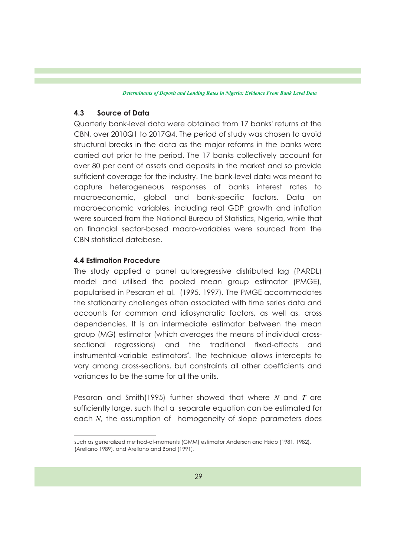#### **4.3 Source of Data**

Quarterly bank-level data were obtained from 17 banks' returns at the CBN, over 2010Q1 to 2017Q4. The period of study was chosen to avoid structural breaks in the data as the major reforms in the banks were carried out prior to the period. The 17 banks collectively account for over 80 per cent of assets and deposits in the market and so provide sufficient coverage for the industry. The bank-level data was meant to capture heterogeneous responses of banks interest rates to macroeconomic, global and bank-specific factors. Data on macroeconomic variables, including real GDP growth and inflation were sourced from the National Bureau of Statistics, Nigeria, while that on financial sector-based macro-variables were sourced from the CBN statistical database.

### **4.4 Estimation Procedure**

The study applied a panel autoregressive distributed lag (PARDL) model and utilised the pooled mean group estimator (PMGE), popularised in Pesaran et al. (1995, 1997). The PMGE accommodates the stationarity challenges often associated with time series data and accounts for common and idiosyncratic factors, as well as, cross dependencies. It is an intermediate estimator between the mean group (MG) estimator (which averages the means of individual crosssectional regressions) and the traditional fixed-effects and instrumental-variable estimators<sup>4</sup>. The technique allows intercepts to vary among cross-sections, but constraints all other coefficients and variances to be the same for all the units.

Pesaran and Smith(1995) further showed that where *N* and *T* are sufficiently large, such that a separate equation can be estimated for each *N*, the assumption of homogeneity of slope parameters does

such as generalized method-of-moments (GMM) estimator Anderson and Hsiao (1981, 1982), (Arellano 1989), and Arellano and Bond (1991),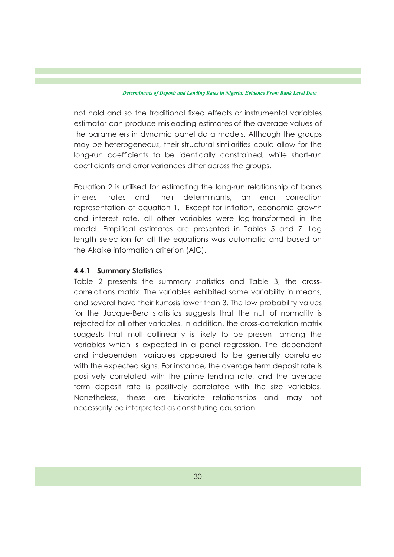not hold and so the traditional fixed effects or instrumental variables estimator can produce misleading estimates of the average values of the parameters in dynamic panel data models. Although the groups may be heterogeneous, their structural similarities could allow for the long-run coefficients to be identically constrained, while short-run coefficients and error variances differ across the groups.

Equation 2 is utilised for estimating the long-run relationship of banks interest rates and their determinants, an error correction representation of equation 1. Except for inflation, economic growth and interest rate, all other variables were log-transformed in the model. Empirical estimates are presented in Tables 5 and 7. Lag length selection for all the equations was automatic and based on the Akaike information criterion (AIC).

### **4.4.1 Summary Statistics**

Table 2 presents the summary statistics and Table 3, the crosscorrelations matrix. The variables exhibited some variability in means, and several have their kurtosis lower than 3. The low probability values for the Jacque-Bera statistics suggests that the null of normality is rejected for all other variables. In addition, the cross-correlation matrix suggests that multi-collinearity is likely to be present among the variables which is expected in a panel regression. The dependent and independent variables appeared to be generally correlated with the expected signs. For instance, the average term deposit rate is positively correlated with the prime lending rate, and the average term deposit rate is positively correlated with the size variables. Nonetheless, these are bivariate relationships and may not necessarily be interpreted as constituting causation.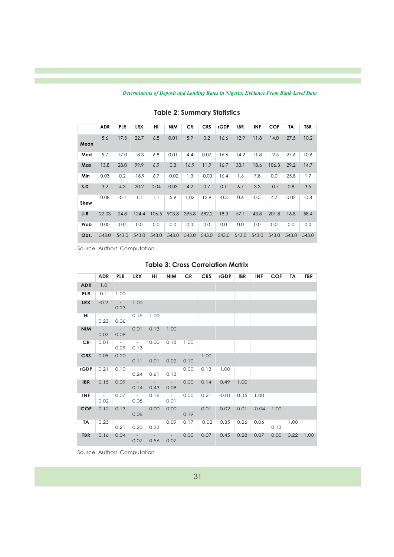|             | <b>ADR</b> | <b>PLR</b> | <b>LRX</b> | н     | <b>NIM</b> | <b>CR</b> | <b>CRS</b> | <b>rGDP</b> | <b>IBR</b> | <b>INF</b> | <b>COF</b> | TΑ    | <b>TBR</b> |
|-------------|------------|------------|------------|-------|------------|-----------|------------|-------------|------------|------------|------------|-------|------------|
| Mean        | 5.6        | 17.3       | 22.7       | 6.8   | 0.01       | 5.9       | 0.2        | 16.6        | 12.9       | 11.8       | 14.0       | 27.5  | 10.2       |
| Med         | 5.7        | 17.0       | 18.3       | 6.8   | 0.01       | 4.4       | 0.07       | 16.6        | 14.2       | 11.8       | 12.5       | 27.6  | 10.6       |
| Max         | 13.8       | 28.0       | 99.9       | 6.9   | 0.3        | 16.9      | 11.9       | 16.7        | 33.1       | 18.6       | 106.3      | 29.2  | 14.7       |
| Min         | 0.03       | 0.2        | $-18.9$    | 6.7   | $-0.02$    | 1.3       | $-0.03$    | 16.4        | 1.6        | 7.8        | 0.0        | 25.8  | 1.7        |
| S.D.        | 3.2        | 4.3        | 20.2       | 0.04  | 0.03       | 4.2       | 0.7        | 0.1         | 6.7        | 3.3        | 10.7       | 0.8   | 3.5        |
| <b>Skew</b> | 0.08       | $-0.1$     | 1.1        | 1.1   | 5.9        | 1.03      | 12.9       | $-0.3$      | 0.6        | 0.5        | 4.7        | 0.02  | $-0.8$     |
| $J - B$     | 22.03      | 24.8       | 124.4      | 106.5 | 903.8      | 395.8     | 682.2      | 18.3        | 57.1       | 43.8       | 201.8      | 16.8  | 58.4       |
| Prob        | 0.00       | 0.0        | 0.0        | 0.0   | 0.0        | 0.0       | 0.0        | 0.0         | 0.0        | 0.0        | 0.0        | 0.0   | 0.0        |
| Obs.        | 543.0      | 543.0      | 543.0      | 543.0 | 543.0      | 543.0     | 543.0      | 543.0       | 543.0      | 543.0      | 543.0      | 543.0 | 543.0      |

### **Table 2: Summary Statistics**

Source: Authors' Computation

#### **Table 3: Cross Correlation Matrix**

|            | <b>ADR</b>     | <b>PLR</b>              | <b>LRX</b>              | HI             | <b>NIM</b>                       | <b>CR</b>      | <b>CRS</b> | rGDP    | <b>IBR</b> | <b>INF</b> | <b>COF</b>             | <b>TA</b> | <b>TBR</b> |
|------------|----------------|-------------------------|-------------------------|----------------|----------------------------------|----------------|------------|---------|------------|------------|------------------------|-----------|------------|
| <b>ADR</b> | 1.0            |                         |                         |                |                                  |                |            |         |            |            |                        |           |            |
| <b>PLR</b> | 0.1            | 1.00                    |                         |                |                                  |                |            |         |            |            |                        |           |            |
| <b>LRX</b> | $-0.2$         | $\sim 10^{-11}$<br>0.23 | 1.00                    |                |                                  |                |            |         |            |            |                        |           |            |
| HI         | $\sim$<br>0.23 | $\sim$<br>0.06          | 0.15                    | 1.00           |                                  |                |            |         |            |            |                        |           |            |
| <b>NIM</b> | $\sim$<br>0.03 | $\sim 10^{-11}$<br>0.09 | 0.01                    | 0.13           | 1.00                             |                |            |         |            |            |                        |           |            |
| CR.        | 0.01           | $\sim$<br>0.29          | $\sim$ $ \sim$<br>0.13  | 0.00           | 0.18                             | 1.00           |            |         |            |            |                        |           |            |
| <b>CRS</b> | 0.09           | 0.20                    | $\sim$ $-$<br>0.11      | 0.01           | $\overline{\phantom{a}}$<br>0.02 | $\sim$<br>0.10 | 1.00       |         |            |            |                        |           |            |
| rGDP       | 0.21           | 0.10                    | $\sim$ $ \sim$<br>0.24  | $\sim$<br>0.61 | $\sim$<br>0.13                   | 0.00           | 0.13       | 1.00    |            |            |                        |           |            |
| <b>IBR</b> | 0.15           | 0.09                    | $\sim 10^{-10}$<br>0.14 | $\sim$<br>0.43 | $\sim$ $ \sim$<br>0.09           | 0.00           | 0.14       | 0.49    | 1.00       |            |                        |           |            |
| <b>INF</b> | $\sim$<br>0.02 | 0.07                    | $\sim$ $-$<br>0.05      | 0.18           | $\sim$ $ \sim$<br>0.01           | 0.00           | 0.21       | $-0.01$ | 0.35       | 1.00       |                        |           |            |
| <b>COF</b> | 0.12           | 0.13                    | $\sim$<br>0.08          | 0.00           | 0.00                             | $\sim$<br>0.19 | 0.01       | 0.02    | 0.01       | $-0.04$    | 1.00                   |           |            |
| TA         | 0.23           | $\sim$<br>0.21          | $\sim$<br>0.23          | $\sim$<br>0.33 | 0.09                             | 0.17           | $-0.02$    | 0.35    | 0.26       | 0.06       | $\sim$ $ \sim$<br>0.13 | 1.00      |            |
| <b>TBR</b> | 0.16           | 0.04                    | $\sim$<br>0.07          | 0.56           | $\sim$<br>0.07                   | 0.00           | 0.07       | 0.45    | 0.28       | 0.07       | 0.00                   | 0.22      | 1.00       |

Source: Authors' Computation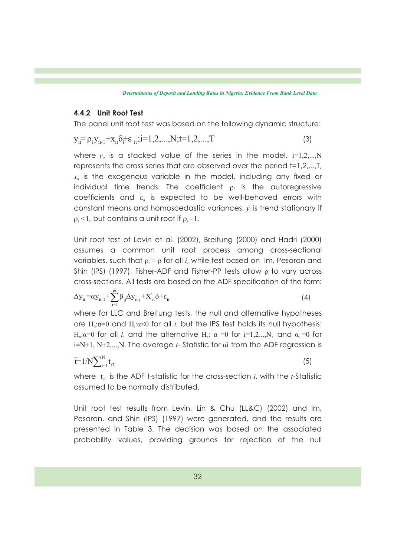#### **4.4.2 Unit Root Test**

The panel unit root test was based on the following dynamic structure:

$$
y_{it} = \rho_i y_{it-1} + x_{it} \delta_i + \varepsilon_{it}; i = 1, 2, ..., N; t = 1, 2, ..., T
$$
\n(3)

where  $y_{\scriptscriptstyle \it i\it i}$  is a stacked value of the series in the model, i=1,2,...,N represents the cross series that are observed over the period t=1,2,...,T,  $x<sub>i</sub>$  is the exogenous variable in the model, including any fixed or individual time trends. The coefficient  $\rho_i$  is the autoregressive coefficients and  $\varepsilon$  is expected to be well-behaved errors with constant means and homoscedastic variances. *y* is trend stationary if *<sup>i</sup>*  $\rho_i$  <1, but contains a unit root if  $\rho_i$ =1.

Unit root test of Levin et al. (2002), Breitung (2000) and Hadri (2000) assumes a common unit root process among cross-sectional variables, such that  $\rho_i = \rho$  for all *i*, while test based on Im, Pesaran and Shin (IPS) (1997), Fisher-ADF and Fisher-PP tests allow  $\rho_i$  to vary across cross-sections. All tests are based on the ADF specification of the form:

$$
\Delta y_{it} = \alpha y_{it-1} + \sum_{j=1}^{pi} \beta_{ij} \Delta y_{it-j} + X'_{it} \delta + \varepsilon_{it}
$$
\n(4)

where for LLC and Breitung tests, the null and alternative hypotheses are  $H_0$ : $\alpha$ =0 and  $H_1$ : $\alpha$ <0 for all *i*, but the IPS test holds its null hypothesis: H<sub>0</sub>: $\alpha$ =0 for all *i*, and the alternative H<sub>1</sub>:  $\alpha$ <sub>i</sub> =0 for i=1,2...,N<sub>1</sub> and  $\alpha$ <sub>i</sub> =0 for i=N+1, N+2,...,N. The average *t*- Statistic for αi from the ADF regression is

$$
\overline{t} = 1/N \sum_{i=1}^{N} t_{iT} \tag{5}
$$

where  $t_{\text{tr}}$  is the ADF t-statistic for the cross-section *i*, with the *t*-Statistic assumed to be normally distributed.

Unit root test results from Levin, Lin & Chu (LL&C) (2002) and Im, Pesaran, and Shin (IPS) (1997) were generated, and the results are presented in Table 3. The decision was based on the associated probability values, providing grounds for rejection of the null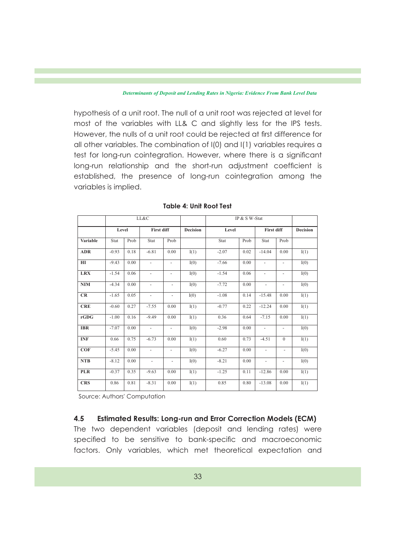hypothesis of a unit root. The null of a unit root was rejected at level for most of the variables with LL& C and slightly less for the IPS tests. However, the nulls of a unit root could be rejected at first difference for all other variables. The combination of I(0) and I(1) variables requires a test for long-run cointegration. However, where there is a signicant long-run relationship and the short-run adjustment coefficient is established, the presence of long-run cointegration among the variables is implied.

|            |         |      | LL&C                     |                          |                 | IP & S W-Stat |      |                          |                          |                 |
|------------|---------|------|--------------------------|--------------------------|-----------------|---------------|------|--------------------------|--------------------------|-----------------|
|            | Level   |      | <b>First diff</b>        |                          | <b>Decision</b> | Level         |      | <b>First diff</b>        |                          | <b>Decision</b> |
| Variable   | Stat    | Prob | Stat                     | Prob                     |                 | Stat          | Prob | Stat                     | Prob                     |                 |
| <b>ADR</b> | $-0.93$ | 0.18 | $-6.81$                  | 0.00                     | I(1)            | $-2.07$       | 0.02 | $-14.04$                 | 0.00                     | I(1)            |
| H I        | $-9.43$ | 0.00 | $\blacksquare$           | $\blacksquare$           | I(0)            | $-7.66$       | 0.00 | $\blacksquare$           | $\overline{\phantom{a}}$ | I(0)            |
| <b>LRX</b> | $-1.54$ | 0.06 | ÷,                       | ÷,                       | I(0)            | $-1.54$       | 0.06 | $\overline{\phantom{a}}$ | $\overline{\phantom{m}}$ | I(0)            |
| <b>NIM</b> | $-4.34$ | 0.00 | $\overline{\phantom{a}}$ | $\blacksquare$           | I(0)            | $-7.72$       | 0.00 | $\blacksquare$           | $\overline{\phantom{a}}$ | I(0)            |
| CR         | $-1.65$ | 0.05 | $\overline{\phantom{a}}$ | $\overline{\phantom{a}}$ | I(0)            | $-1.08$       | 0.14 | $-15.48$                 | 0.00                     | I(1)            |
| <b>CRE</b> | $-0.60$ | 0.27 | $-7.55$                  | 0.00                     | I(1)            | $-0.77$       | 0.22 | $-12.24$                 | 0.00                     | I(1)            |
| rGDG       | $-1.00$ | 0.16 | $-9.49$                  | 0.00                     | I(1)            | 0.36          | 0.64 | $-7.15$                  | 0.00                     | I(1)            |
| <b>IBR</b> | $-7.07$ | 0.00 | $\frac{1}{2}$            | $\overline{\phantom{0}}$ | I(0)            | $-2.98$       | 0.00 | $\overline{\phantom{a}}$ | -                        | I(0)            |
| <b>INF</b> | 0.66    | 0.75 | $-6.73$                  | 0.00                     | I(1)            | 0.60          | 0.73 | $-4.51$                  | $\theta$                 | I(1)            |
| COF        | $-5.45$ | 0.00 | $\overline{\phantom{a}}$ | $\overline{\phantom{a}}$ | I(0)            | $-6.27$       | 0.00 | $\overline{\phantom{a}}$ | $\overline{\phantom{a}}$ | I(0)            |
| <b>NTB</b> | $-8.12$ | 0.00 | $\overline{\phantom{a}}$ | -                        | I(0)            | $-8.21$       | 0.00 | -                        | $\overline{\phantom{a}}$ | I(0)            |
| <b>PLR</b> | $-0.37$ | 0.35 | $-9.63$                  | 0.00                     | I(1)            | $-1.25$       | 0.11 | $-12.86$                 | 0.00                     | I(1)            |
| <b>CRS</b> | 0.86    | 0.81 | $-8.31$                  | 0.00                     | I(1)            | 0.85          | 0.80 | $-13.08$                 | 0.00                     | I(1)            |

#### **Table 4: Unit Root Test**

Source: Authors' Computation

### **4.5 Estimated Results: Long-run and Error Correction Models (ECM)**

The two dependent variables (deposit and lending rates) were specified to be sensitive to bank-specific and macroeconomic factors. Only variables, which met theoretical expectation and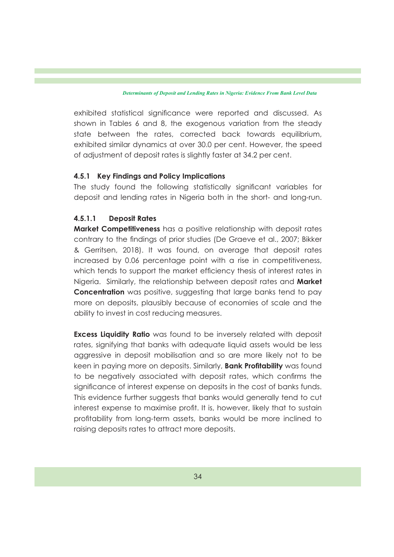exhibited statistical significance were reported and discussed. As shown in Tables 6 and 8, the exogenous variation from the steady state between the rates, corrected back towards equilibrium, exhibited similar dynamics at over 30.0 per cent. However, the speed of adjustment of deposit rates is slightly faster at 34.2 per cent.

### **4.5.1 Key Findings and Policy Implications**

The study found the following statistically significant variables for deposit and lending rates in Nigeria both in the short- and long-run.

### **4.5.1.1 Deposit Rates**

**Market Competitiveness** has a positive relationship with deposit rates contrary to the findings of prior studies (De Graeve et al., 2007; Bikker & Gerritsen, 2018). It was found, on average that deposit rates increased by 0.06 percentage point with a rise in competitiveness, which tends to support the market efficiency thesis of interest rates in Nigeria. Similarly, the relationship between deposit rates and **Market Concentration** was positive, suggesting that large banks tend to pay more on deposits, plausibly because of economies of scale and the ability to invest in cost reducing measures.

**Excess Liquidity Ratio** was found to be inversely related with deposit rates, signifying that banks with adequate liquid assets would be less aggressive in deposit mobilisation and so are more likely not to be keen in paying more on deposits. Similarly, **Bank Protability** was found to be negatively associated with deposit rates, which confirms the significance of interest expense on deposits in the cost of banks funds. This evidence further suggests that banks would generally tend to cut interest expense to maximise profit. It is, however, likely that to sustain profitability from long-term assets, banks would be more inclined to raising deposits rates to attract more deposits.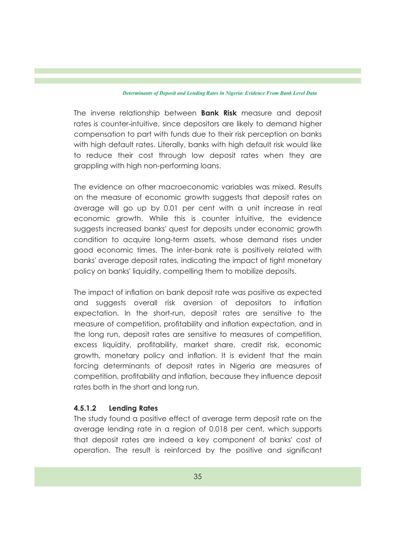The inverse relationship between **Bank Risk** measure and deposit rates is counter-intuitive, since depositors are likely to demand higher compensation to part with funds due to their risk perception on banks with high default rates. Literally, banks with high default risk would like to reduce their cost through low deposit rates when they are grappling with high non-performing loans.

The evidence on other macroeconomic variables was mixed. Results on the measure of economic growth suggests that deposit rates on average will go up by 0.01 per cent with a unit increase in real economic growth. While this is counter intuitive, the evidence suggests increased banks' quest for deposits under economic growth condition to acquire long-term assets, whose demand rises under good economic times. The inter-bank rate is positively related with banks' average deposit rates, indicating the impact of tight monetary policy on banks' liquidity, compelling them to mobilize deposits.

The impact of inflation on bank deposit rate was positive as expected and suggests overall risk aversion of depositors to inflation expectation. In the short-run, deposit rates are sensitive to the measure of competition, profitability and inflation expectation, and in the long run, deposit rates are sensitive to measures of competition, excess liquidity, profitability, market share, credit risk, economic growth, monetary policy and inflation. It is evident that the main forcing determinants of deposit rates in Nigeria are measures of competition, profitability and inflation, because they influence deposit rates both in the short and long run.

### **4.5.1.2 Lending Rates**

The study found a positive effect of average term deposit rate on the average lending rate in a region of 0.018 per cent, which supports that deposit rates are indeed a key component of banks' cost of operation. The result is reinforced by the positive and signicant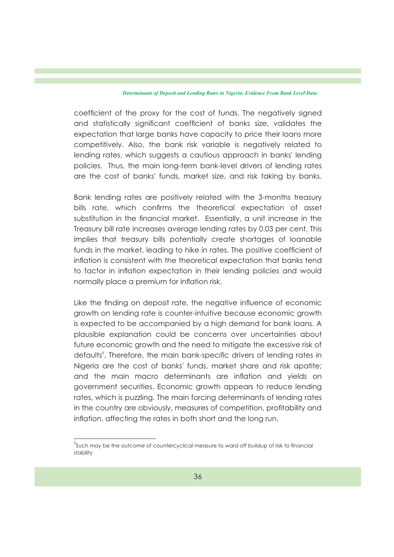coefficient of the proxy for the cost of funds. The negatively signed and statistically significant coefficient of banks size, validates the expectation that large banks have capacity to price their loans more competitively. Also, the bank risk variable is negatively related to lending rates, which suggests a cautious approach in banks' lending policies. Thus, the main long-term bank-level drivers of lending rates are the cost of banks' funds, market size, and risk taking by banks.

Bank lending rates are positively related with the 3-months treasury bills rate, which confirms the theoretical expectation of asset substitution in the financial market. Essentially, a unit increase in the Treasury bill rate increases average lending rates by 0.03 per cent. This implies that treasury bills potentially create shortages of loanable funds in the market, leading to hike in rates. The positive coefficient of inflation is consistent with the theoretical expectation that banks tend to factor in inflation expectation in their lending policies and would normally place a premium for inflation risk.

Like the finding on deposit rate, the negative influence of economic growth on lending rate is counter-intuitive because economic growth is expected to be accompanied by a high demand for bank loans. A plausible explanation could be concerns over uncertainties about future economic growth and the need to mitigate the excessive risk of defaults<sup>5</sup>. Therefore, the main bank-specific drivers of lending rates in Nigeria are the cost of banks' funds, market share and risk apatite; and the main macro determinants are inflation and yields on government securities. Economic growth appears to reduce lending rates, which is puzzling. The main forcing determinants of lending rates in the country are obviously, measures of competition, profitability and inflation, affecting the rates in both short and the long run.

 $^5$ Such may be the outcome of countercyclical measure to ward off buildup of risk to financial stability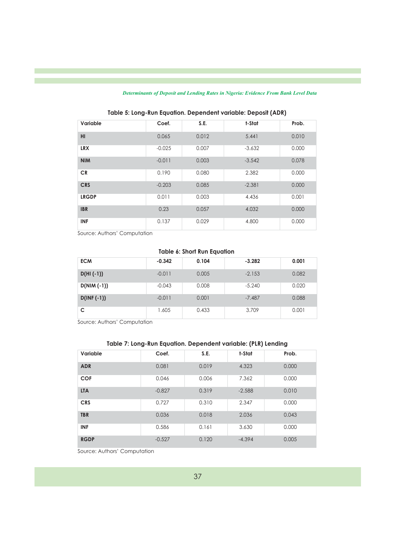| Variable     | Coef.    | S.E.  | t-Stat   | Prob. |
|--------------|----------|-------|----------|-------|
| HI           | 0.065    | 0.012 | 5.441    | 0.010 |
| <b>LRX</b>   | $-0.025$ | 0.007 | $-3.632$ | 0.000 |
| <b>NIM</b>   | $-0.011$ | 0.003 | $-3.542$ | 0.078 |
| <b>CR</b>    | 0.190    | 0.080 | 2.382    | 0.000 |
| <b>CRS</b>   | $-0.203$ | 0.085 | $-2.381$ | 0.000 |
| <b>LRGDP</b> | 0.011    | 0.003 | 4.436    | 0.001 |
| <b>IBR</b>   | 0.23     | 0.057 | 4.032    | 0.000 |
| <b>INF</b>   | 0.137    | 0.029 | 4.800    | 0.000 |

**Table 5: Long-Run Equation. Dependent variable: Deposit (ADR)**

Source: Authors' Computation

#### **Table 6: Short Run Equation**

| <b>ECM</b>    | $-0.342$ | 0.104 | $-3.282$ | 0.001 |
|---------------|----------|-------|----------|-------|
| $D(HI(-1))$   | $-0.011$ | 0.005 | $-2.153$ | 0.082 |
| $D(NIM (-1))$ | $-0.043$ | 0.008 | $-5.240$ | 0.020 |
| $D(INF(-1))$  | $-0.011$ | 0.001 | $-7.487$ | 0.088 |
|               | 1.605    | 0.433 | 3.709    | 0.001 |

Source: Authors' Computation

### **Table 7: Long-Run Equation. Dependent variable: (PLR) Lending**

| Variable    | Coef.    | S.E.  | t-Stat   | Prob. |
|-------------|----------|-------|----------|-------|
| <b>ADR</b>  | 0.081    | 0.019 | 4.323    | 0.000 |
| <b>COF</b>  | 0.046    | 0.006 | 7.362    | 0.000 |
| <b>LTA</b>  | $-0.827$ | 0.319 | $-2.588$ | 0.010 |
| <b>CRS</b>  | 0.727    | 0.310 | 2.347    | 0.000 |
| <b>TBR</b>  | 0.036    | 0.018 | 2.036    | 0.043 |
| <b>INF</b>  | 0.586    | 0.161 | 3.630    | 0.000 |
| <b>RGDP</b> | $-0.527$ | 0.120 | $-4.394$ | 0.005 |

Source: Authors' Computation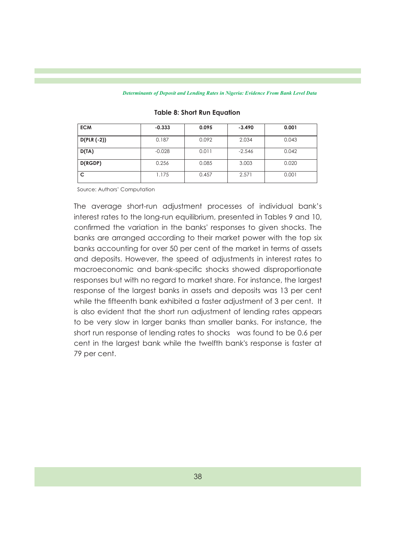| <b>ECM</b>   | $-0.333$ | 0.095 | $-3.490$ | 0.001 |
|--------------|----------|-------|----------|-------|
| $D(PLR(-2))$ | 0.187    | 0.092 | 2.034    | 0.043 |
| D(TA)        | $-0.028$ | 0.011 | $-2.546$ | 0.042 |
| D(RGDP)      | 0.256    | 0.085 | 3.003    | 0.020 |
|              | 1.175    | 0.457 | 2.571    | 0.001 |

#### **Table 8: Short Run Equation**

Source: Authors' Computation

The average short-run adjustment processes of individual bank's interest rates to the long-run equilibrium, presented in Tables 9 and 10, confirmed the variation in the banks' responses to given shocks. The banks are arranged according to their market power with the top six banks accounting for over 50 per cent of the market in terms of assets and deposits. However, the speed of adjustments in interest rates to macroeconomic and bank-specific shocks showed disproportionate responses but with no regard to market share. For instance, the largest response of the largest banks in assets and deposits was 13 per cent while the fifteenth bank exhibited a faster adjustment of 3 per cent. It is also evident that the short run adjustment of lending rates appears to be very slow in larger banks than smaller banks. For instance, the short run response of lending rates to shocks was found to be 0.6 per cent in the largest bank while the twelfth bank's response is faster at 79 per cent.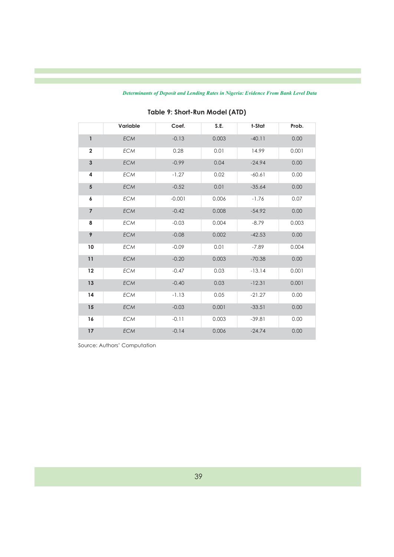| <b>Determinants of Deposit and Lending Rates in Nigeria: Evidence From Bank Level Data</b> |  |  |  |  |  |  |  |  |  |  |  |
|--------------------------------------------------------------------------------------------|--|--|--|--|--|--|--|--|--|--|--|
|--------------------------------------------------------------------------------------------|--|--|--|--|--|--|--|--|--|--|--|

|                         | Variable   | Coef.    | S.E.  | t-Stat   | Prob. |
|-------------------------|------------|----------|-------|----------|-------|
| 1                       | <b>ECM</b> | $-0.13$  | 0.003 | $-40.11$ | 0.00  |
| $\overline{\mathbf{2}}$ | <b>ECM</b> | 0.28     | 0.01  | 14.99    | 0.001 |
| $\mathbf{3}$            | ECM        | $-0.99$  | 0.04  | $-24.94$ | 0.00  |
| 4                       | ECM        | $-1.27$  | 0.02  | $-60.61$ | 0.00  |
| 5                       | ECM        | $-0.52$  | 0.01  | $-35.64$ | 0.00  |
| 6                       | <b>ECM</b> | $-0.001$ | 0.006 | $-1.76$  | 0.07  |
| $\overline{7}$          | ECM        | $-0.42$  | 0.008 | $-54.92$ | 0.00  |
| 8                       | <b>ECM</b> | $-0.03$  | 0.004 | $-8.79$  | 0.003 |
| 9                       | ECM        | $-0.08$  | 0.002 | $-42.53$ | 0.00  |
| 10                      | ECM        | $-0.09$  | 0.01  | $-7.89$  | 0.004 |
| 11                      | ECM        | $-0.20$  | 0.003 | $-70.38$ | 0.00  |
| 12                      | ECM        | $-0.47$  | 0.03  | $-13.14$ | 0.001 |
| 13                      | <b>ECM</b> | $-0.40$  | 0.03  | $-12.31$ | 0.001 |
| 14                      | <b>ECM</b> | $-1.13$  | 0.05  | $-21.27$ | 0.00  |
| 15                      | <b>ECM</b> | $-0.03$  | 0.001 | $-33.51$ | 0.00  |
| 16                      | ECM        | $-0.11$  | 0.003 | $-39.81$ | 0.00  |
| $17\,$                  | ECM        | $-0.14$  | 0.006 | $-24.74$ | 0.00  |

## **Table 9: Short-Run Model (ATD)**

Source: Authors' Computation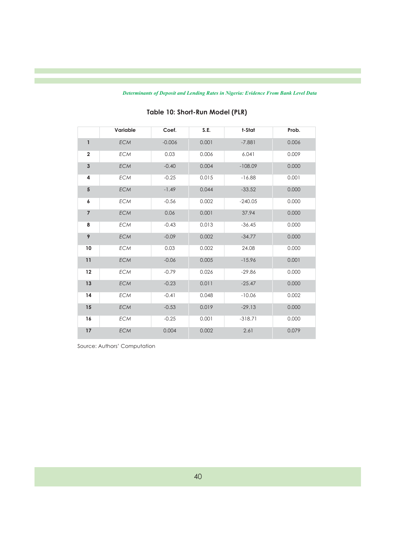|                         | Variable   | Coef.    | S.E.  | t-Stat    | Prob. |
|-------------------------|------------|----------|-------|-----------|-------|
| $\mathbf{1}$            | <b>ECM</b> | $-0.006$ | 0.001 | $-7.881$  | 0.006 |
| $\overline{\mathbf{2}}$ | <b>ECM</b> | 0.03     | 0.006 | 6.041     | 0.009 |
| 3                       | <b>ECM</b> | $-0.40$  | 0.004 | $-108.09$ | 0.000 |
| 4                       | <b>ECM</b> | $-0.25$  | 0.015 | $-16.88$  | 0.001 |
| 5                       | <b>ECM</b> | $-1.49$  | 0.044 | $-33.52$  | 0.000 |
| 6                       | <b>ECM</b> | $-0.56$  | 0.002 | $-240.05$ | 0.000 |
| $\overline{7}$          | <b>ECM</b> | 0.06     | 0.001 | 37.94     | 0.000 |
| 8                       | <b>ECM</b> | $-0.43$  | 0.013 | $-36.45$  | 0.000 |
| 9                       | <b>ECM</b> | $-0.09$  | 0.002 | $-34.77$  | 0.000 |
| 10                      | <b>ECM</b> | 0.03     | 0.002 | 24.08     | 0.000 |
| 11                      | ECM        | $-0.06$  | 0.005 | $-15.96$  | 0.001 |
| 12                      | <b>ECM</b> | $-0.79$  | 0.026 | $-29.86$  | 0.000 |
| 13                      | <b>ECM</b> | $-0.23$  | 0.011 | $-25.47$  | 0.000 |
| 14                      | <b>ECM</b> | $-0.41$  | 0.048 | $-10.06$  | 0.002 |
| 15                      | <b>ECM</b> | $-0.53$  | 0.019 | $-29.13$  | 0.000 |
| 16                      | <b>ECM</b> | $-0.25$  | 0.001 | $-318.71$ | 0.000 |
| $17\,$                  | <b>ECM</b> | 0.004    | 0.002 | 2.61      | 0.079 |

## **Table 10: Short-Run Model (PLR)**

Source: Authors' Computation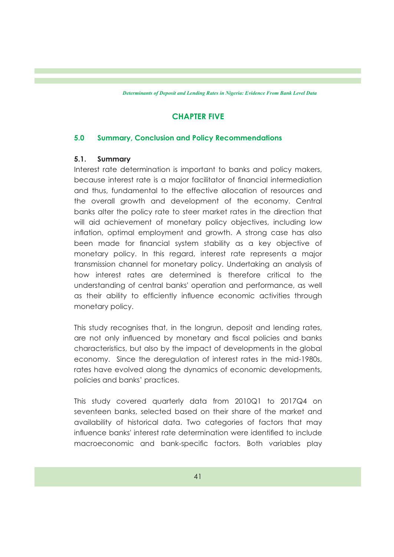### **CHAPTER FIVE**

#### **5.0 Summary, Conclusion and Policy Recommendations**

#### **5.1. Summary**

Interest rate determination is important to banks and policy makers, because interest rate is a major facilitator of nancial intermediation and thus, fundamental to the effective allocation of resources and the overall growth and development of the economy. Central banks alter the policy rate to steer market rates in the direction that will aid achievement of monetary policy objectives, including low inflation, optimal employment and growth. A strong case has also been made for financial system stability as a key objective of monetary policy. In this regard, interest rate represents a major transmission channel for monetary policy. Undertaking an analysis of how interest rates are determined is therefore critical to the understanding of central banks' operation and performance, as well as their ability to efficiently influence economic activities through monetary policy.

This study recognises that, in the longrun, deposit and lending rates, are not only influenced by monetary and fiscal policies and banks characteristics, but also by the impact of developments in the global economy. Since the deregulation of interest rates in the mid-1980s, rates have evolved along the dynamics of economic developments, policies and banks' practices.

This study covered quarterly data from 2010Q1 to 2017Q4 on seventeen banks, selected based on their share of the market and availability of historical data. Two categories of factors that may influence banks' interest rate determination were identified to include macroeconomic and bank-specific factors. Both variables play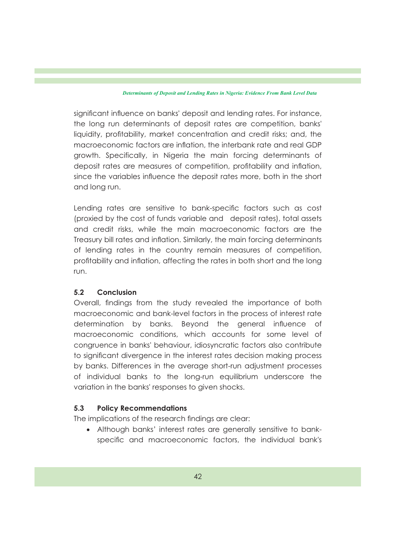significant influence on banks' deposit and lending rates. For instance, the long run determinants of deposit rates are competition, banks' liquidity, profitability, market concentration and credit risks; and, the macroeconomic factors are inflation, the interbank rate and real GDP growth. Specifically, in Nigeria the main forcing determinants of deposit rates are measures of competition, profitability and inflation, since the variables influence the deposit rates more, both in the short and long run.

Lending rates are sensitive to bank-specific factors such as cost (proxied by the cost of funds variable and deposit rates), total assets and credit risks, while the main macroeconomic factors are the Treasury bill rates and inflation. Similarly, the main forcing determinants of lending rates in the country remain measures of competition, profitability and inflation, affecting the rates in both short and the long run.

### **5.2 Conclusion**

Overall, findings from the study revealed the importance of both macroeconomic and bank-level factors in the process of interest rate determination by banks. Beyond the general influence of macroeconomic conditions, which accounts for some level of congruence in banks' behaviour, idiosyncratic factors also contribute to signicant divergence in the interest rates decision making process by banks. Differences in the average short-run adjustment processes of individual banks to the long-run equilibrium underscore the variation in the banks' responses to given shocks.

### **5.3 Policy Recommendations**

The implications of the research findings are clear:

· Although banks' interest rates are generally sensitive to bankspecific and macroeconomic factors, the individual bank's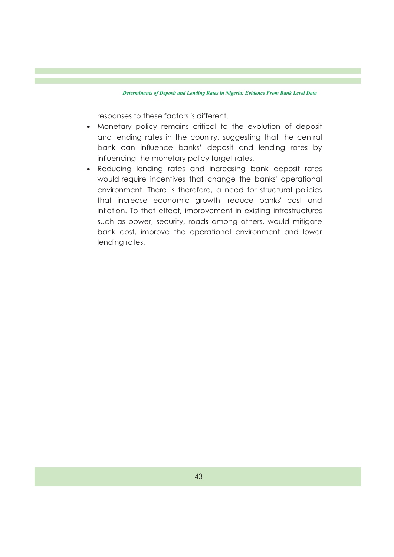responses to these factors is different.

- · Monetary policy remains critical to the evolution of deposit and lending rates in the country, suggesting that the central bank can influence banks' deposit and lending rates by influencing the monetary policy target rates.
- · Reducing lending rates and increasing bank deposit rates would require incentives that change the banks' operational environment. There is therefore, a need for structural policies that increase economic growth, reduce banks' cost and inflation. To that effect, improvement in existing infrastructures such as power, security, roads among others, would mitigate bank cost, improve the operational environment and lower lending rates.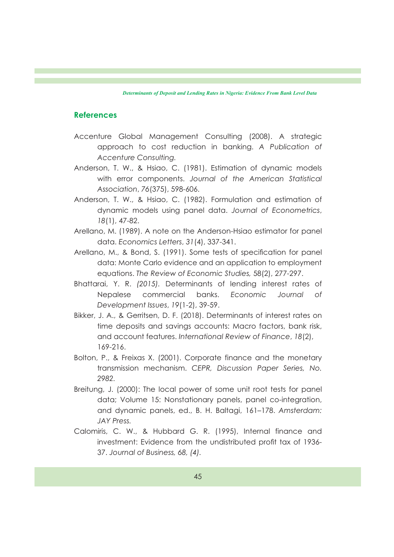#### **References**

- Accenture Global Management Consulting (2008). A strategic approach to cost reduction in banking. *A Publication of Accenture Consulting.*
- Anderson, T. W., & Hsiao, C. (1981). Estimation of dynamic models with error components. *Journal of the American Statistical Association*, *76*(375), 598-606.
- Anderson, T. W., & Hsiao, C. (1982). Formulation and estimation of dynamic models using panel data. *Journal of Econometrics*, *18*(1), 47-82.
- Arellano, M. (1989). A note on the Anderson-Hsiao estimator for panel data. *Economics Letters*, *31*(4), 337-341.
- Arellano, M., & Bond, S. (1991). Some tests of specification for panel data: Monte Carlo evidence and an application to employment equations. *The Review of Economic Studies,* 58(2), 277-297.
- Bhattarai, Y. R. *(2015).* Determinants of lending interest rates of Nepalese commercial banks. *Economic Journal of Development Issues*, *19*(1-2), 39-59.
- Bikker, J. A., & Gerritsen, D. F. (2018). Determinants of interest rates on time deposits and savings accounts: Macro factors, bank risk, and account features. *International Review of Finance*, *18*(2), 169-216.
- Bolton, P., & Freixas X. (2001). Corporate finance and the monetary transmission mechanism. *CEPR, Discussion Paper Series, No. 2982.*
- Breitung, J. (2000): The local power of some unit root tests for panel data; Volume 15: Nonstationary panels, panel co-integration, and dynamic panels, ed., B. H. Baltagi, 161–178. *Amsterdam: JAY Press.*
- Calomiris, C. W., & Hubbard G. R. (1995), Internal finance and investment: Evidence from the undistributed profit tax of 1936-37. *Journal of Business, 68, (4).*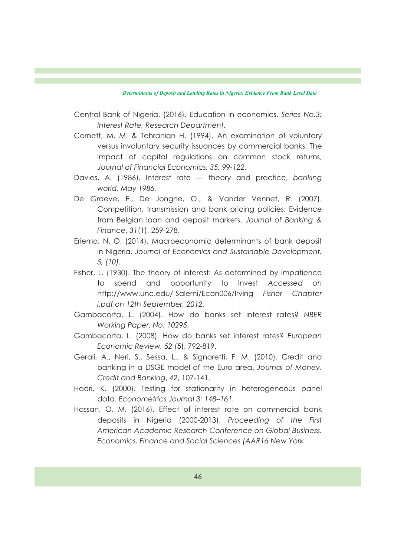Central Bank of Nigeria. (2016). Education in economics. *Series No.3: Interest Rate, Research Department.*

- Cornett, M. M. & Tehranian H. (1994), An examination of voluntary versus involuntary security issuances by commercial banks: The impact of capital regulations on common stock returns, *Journal of Financial Economics, 35, 99-122.*
- Davies, A. (1986). Interest rate theory and practice, *banking world, May 1986.*
- De Graeve, F., De Jonghe, O., & Vander Vennet, R. (2007). Competition, transmission and bank pricing policies: Evidence from Belgian loan and deposit markets. *Journal of Banking & Finance*, *31*(1), 259-278.
- Eriemo, N. O. (2014). Macroeconomic determinants of bank deposit in Nigeria. *Journal of Economics and Sustainable Development, 5, (10).*
- Fisher, L. (1930). The theory of interest: As determined by impatience to spend and opportunity to invest *Accessed on*  http://www.unc.edu/-Salerni/Econ006/Irving *Fisher Chapter i.pdf on 12th September, 2012.*
- Gambacorta, L. (2004). How do banks set interest rates? *NBER Working Paper, No. 10295.*
- Gambacorta, L. (2008). How do banks set interest rates? *European Economic Review, 52* (5), 792-819.
- Gerali, A., Neri, S., Sessa, L., & Signoretti, F. M. (2010). Credit and banking in a DSGE model of the Euro area. *Journal of Money, Credit and Banking*, *42*, 107-141.
- Hadri, K. (2000). Testing for stationarity in heterogeneous panel data. *Econometrics Journal 3: 148–161.*
- Hassan, O. M. (2016). Effect of interest rate on commercial bank deposits in Nigeria (2000-2013). *Proceeding of the First American Academic Research Conference on Global Business, Economics, Finance and Social Sciences (AAR16 New York*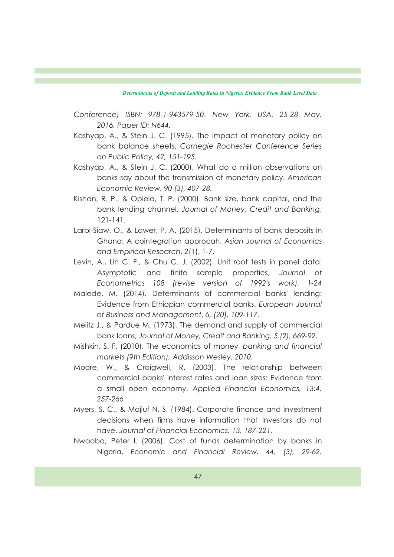- *Conference) ISBN: 978-1-943579-50- New York, USA. 25-28 May, 2016. Paper ID: N644.*
- Kashyap, A., & Stein J. C. (1995). The impact of monetary policy on bank balance sheets, *Carnegie Rochester Conference Series on Public Policy, 42, 151-195.*
- Kashyap, A., & Stein J. C. (2000). What do a million observations on banks say about the transmission of monetary policy. *American Economic Review, 90 (3), 407-28.*
- Kishan, R. P., & Opiela, T. P. (2000). Bank size, bank capital, and the bank lending channel. *Journal of Money, Credit and Banking*, 121-141.
- Larbi-Siaw, O., & Lawer, P. A. (2015). Determinants of bank deposits in Ghana: A cointegration approcah. *Asian Journal of Economics and Empirical Research*, *2*(1), 1-7.
- Levin, A., Lin C. F., & Chu C. J. (2002). Unit root tests in panel data: Asymptotic and finite sample properties, *Journal of Econometrics 108 (revise version of 1992's work), 1-24*
- Malede, M. (2014). Determinants of commercial banks' lending: Evidence from Ethiopian commercial banks. *European Journal of Business and Management*, *6, (20), 109-117.*
- Melitz J., & Pardue M. (1973). The demand and supply of commercial bank loans, *Journal of Money, Credit and Banking, 5 (2), 669-92.*
- Mishkin, S. F. (2010). The economics of money, *banking and financial markets (9th Edition), Addisson Wesley, 2010.*
- Moore, W., & Craigwell, R. (2003). The relationship between commercial banks' interest rates and loan sizes: Evidence from a small open economy. *Applied Financial Economics, 13:4, 257-266*
- Myers, S. C., & Majluf N. S. (1984). Corporate finance and investment decisions when firms have information that investors do not have. *Journal of Financial Economics, 13, 187-221.*
- Nwaoba, Peter I. (2006). Cost of funds determination by banks in Nigeria, *Economic and Financial Review, 44, (3), 29-62.*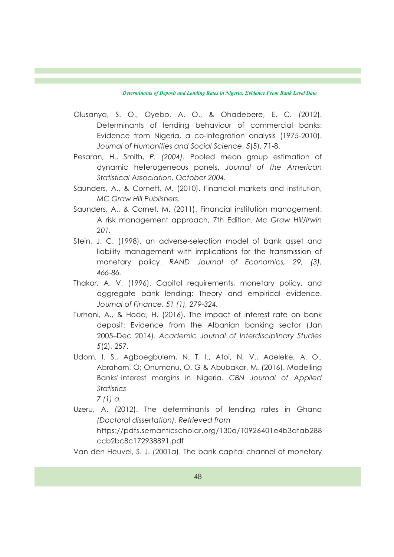- Olusanya, S. O., Oyebo, A. O., & Ohadebere, E. C. (2012). Determinants of lending behaviour of commercial banks: Evidence from Nigeria, a co-Integration analysis (1975-2010). *Journal of Humanities and Social Science*, *5*(5), 71-8.
- Pesaran, H., Smith, *P. (2004).* Pooled mean group estimation of dynamic heterogeneous panels. *Journal of the American Statistical Association, October 2004.*
- Saunders, A., & Cornett, M. (2010). Financial markets and institution, *MC Graw Hill Publishers.*
- Saunders, A., & Cornet, M. (2011). Financial institution management: A risk management approach, 7th Edition*. Mc Graw Hill/Irwin 201.*
- Stein, J. C. (1998). an adverse-selection model of bank asset and liability management with implications for the transmission of monetary policy. *RAND Journal of Economics, 29, (3), 466-86.*
- Thakor, A. V. (1996). Capital requirements, monetary policy, and aggregate bank lending: Theory and empirical evidence. *Journal of Finance, 51 (1), 279-324.*
- Turhani, A., & Hoda, H. (2016). The impact of interest rate on bank deposit: Evidence from the Albanian banking sector (Jan 2005–Dec 2014). *Academic Journal of Interdisciplinary Studies 5*(2), 257.
- Udom, I. S., Agboegbulem, N. T. I., Atoi, N, V., Adeleke, A. O., Abraham, O; Onumonu, O. G & Abubakar, M. (2016). Modelling Banks' interest margins in Nigeria. *CBN Journal of Applied Statistics*

*7 (1) a.*

Uzeru, A. (2012). The determinants of lending rates in Ghana *(Doctoral dissertation). Retrieved from* 

https://pdfs.semanticscholar.org/130a/10926401e4b3dfab288 ccb2bc8c172938891.pdf

Van den Heuvel, S. J. (2001a). The bank capital channel of monetary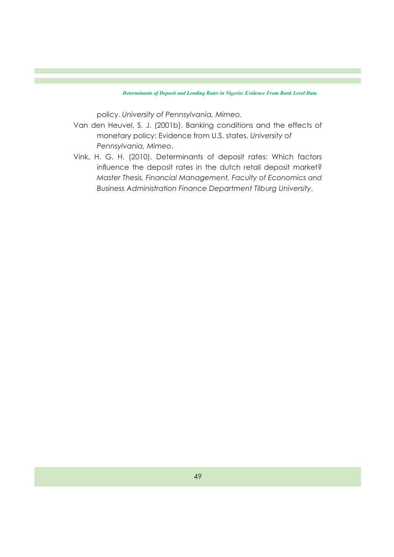policy. *University of Pennsylvania, Mimeo.*

- Van den Heuvel, S. J. (2001b). Banking conditions and the effects of monetary policy: Evidence from U.S. states, *University of Pennsylvania, Mimeo*.
- Vink, H. G. H. (2010). Determinants of deposit rates: Which factors influence the deposit rates in the dutch retail deposit market? *Master Thesis, Financial Management, Faculty of Economics and Business Administration Finance Department Tilburg University*,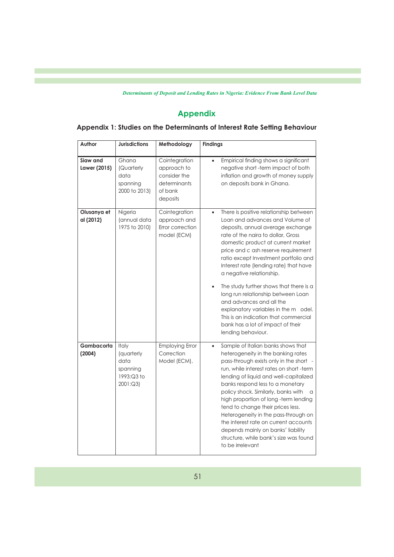# **Appendix**

| Author                   | <b>Jurisdictions</b>                                             | Methodology                                                                         | <b>Findings</b>                                                                                                                                                                                                                                                                                                                                                                                                                                                                                                                                                                                                        |
|--------------------------|------------------------------------------------------------------|-------------------------------------------------------------------------------------|------------------------------------------------------------------------------------------------------------------------------------------------------------------------------------------------------------------------------------------------------------------------------------------------------------------------------------------------------------------------------------------------------------------------------------------------------------------------------------------------------------------------------------------------------------------------------------------------------------------------|
| Siaw and<br>Lawer (2015) | Ghana<br>(Quarterly<br>data<br>spanning<br>2000 to 2013)         | Cointegration<br>approach to<br>consider the<br>determinants<br>of bank<br>deposits | Empirical finding shows a significant<br>$\bullet$<br>negative short-term impact of both<br>inflation and growth of money supply<br>on deposits bank in Ghana.                                                                                                                                                                                                                                                                                                                                                                                                                                                         |
| Olusanya et<br>al (2012) | Nigeria<br>(annual data<br>1975 to 2010)                         | Cointegration<br>approach and<br>Error correction<br>model (ECM)                    | There is positive relationship between<br>$\bullet$<br>Loan and advances and Volume of<br>deposits, annual average exchange<br>rate of the naira to dollar, Gross<br>domestic product at current market<br>price and c ash reserve requirement<br>ratio except Investment portfolio and<br>Interest rate (lending rate) that have<br>a negative relationship.<br>The study further shows that there is a<br>long run relationship between Loan<br>and advances and all the<br>explanatory variables in the m odel.<br>This is an indication that commercial<br>bank has a lot of impact of their<br>lending behaviour. |
| Gambacorta<br>(2004)     | Italy<br>(quarterly<br>data<br>spanning<br>1993:Q3 to<br>2001:Q3 | <b>Employing Error</b><br>Correction<br>Model (ECM),                                | Sample of Italian banks shows that<br>$\bullet$<br>heterogeneity in the banking rates<br>pass-through exists only in the short<br>run, while interest rates on short -term<br>lending of liquid and well-capitalized<br>banks respond less to a monetary<br>policy shock. Similarly, banks with<br>a<br>high proportion of long -term lending<br>tend to change their prices less.<br>Heterogeneity in the pass-through on<br>the interest rate on current accounts<br>depends mainly on banks' liability<br>structure, while bank's size was found<br>to be irrelevant                                                |

## **Appendix 1: Studies on the Determinants of Interest Rate Setting Behaviour**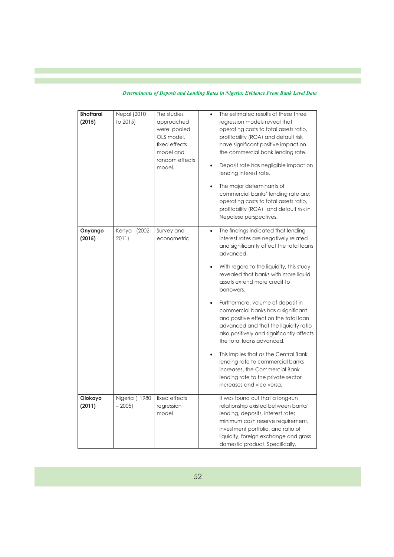| Determinants of Deposit and Lending Rates in Nigeria: Evidence From Bank Level Data |  |  |  |  |  |  |
|-------------------------------------------------------------------------------------|--|--|--|--|--|--|
|                                                                                     |  |  |  |  |  |  |

| <b>Bhattarai</b><br>(2015) | <b>Nepal</b> (2010<br>to 2015) | The studies<br>approached<br>were: pooled<br>OLS model,<br>fixed effects<br>model and<br>random effects<br>model. | The estimated results of these three<br>regression models reveal that<br>operating costs to total assets ratio,<br>profitability (ROA) and default risk<br>have significant positive impact on<br>the commercial bank lending rate.<br>Deposit rate has negligible impact on<br>lending interest rate.<br>The major determinants of<br>commercial banks' lending rate are:<br>operating costs to total assets ratio,<br>profitability (ROA) and default risk in<br>Nepalese perspectives.                                                                                                                                                                                                                                  |
|----------------------------|--------------------------------|-------------------------------------------------------------------------------------------------------------------|----------------------------------------------------------------------------------------------------------------------------------------------------------------------------------------------------------------------------------------------------------------------------------------------------------------------------------------------------------------------------------------------------------------------------------------------------------------------------------------------------------------------------------------------------------------------------------------------------------------------------------------------------------------------------------------------------------------------------|
| Onyango<br>(2015)          | Kenya<br>$(2002 -$<br>2011)    | Survey and<br>econometric                                                                                         | The findings indicated that lending<br>$\bullet$<br>interest rates are negatively related<br>and significantly affect the total loans<br>advanced.<br>With regard to the liquidity, this study<br>revealed that banks with more liquid<br>assets extend more credit to<br>borrowers.<br>Furthermore, volume of deposit in<br>$\bullet$<br>commercial banks has a significant<br>and positive effect on the total loan<br>advanced and that the liquidity ratio<br>also positively and significantly affects<br>the total loans advanced.<br>This implies that as the Central Bank<br>lending rate to commercial banks<br>increases, the Commercial Bank<br>lending rate to the private sector<br>increases and vice versa. |
| Olokoyo<br>(2011)          | Nigeria (1980<br>$-2005$       | fixed effects<br>regression<br>model                                                                              | It was found out that a long-run<br>relationship existed between banks'<br>lending, deposits, interest rate;<br>minimum cash reserve requirement,<br>investment portfolio, and ratio of<br>liquidity, foreign exchange and gross<br>domestic product. Specifically,                                                                                                                                                                                                                                                                                                                                                                                                                                                        |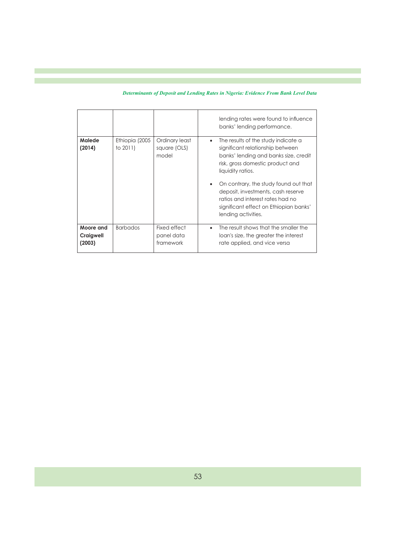|  | Determinants of Deposit and Lending Rates in Nigeria: Evidence From Bank Level Data |  |  |  |
|--|-------------------------------------------------------------------------------------|--|--|--|
|--|-------------------------------------------------------------------------------------|--|--|--|

|                                  |                            |                                         | lending rates were found to influence<br>banks' lending performance.                                                                                                                                                                                                                                                                                                       |
|----------------------------------|----------------------------|-----------------------------------------|----------------------------------------------------------------------------------------------------------------------------------------------------------------------------------------------------------------------------------------------------------------------------------------------------------------------------------------------------------------------------|
| Malede<br>(2014)                 | Ethiopia (2005<br>to 2011) | Ordinary least<br>square (OLS)<br>model | The results of the study indicate a<br>$\bullet$<br>significant relationship between<br>banks' lending and banks size, credit<br>risk, gross domestic product and<br>liquidity ratios.<br>On contrary, the study found out that<br>deposit, investments, cash reserve<br>ratios and interest rates had no<br>significant effect on Ethiopian banks'<br>lending activities. |
| Moore and<br>Craigwell<br>(2003) | <b>Barbados</b>            | Fixed effect<br>panel data<br>framework | The result shows that the smaller the<br>$\bullet$<br>loan's size, the greater the interest<br>rate applied, and vice versa                                                                                                                                                                                                                                                |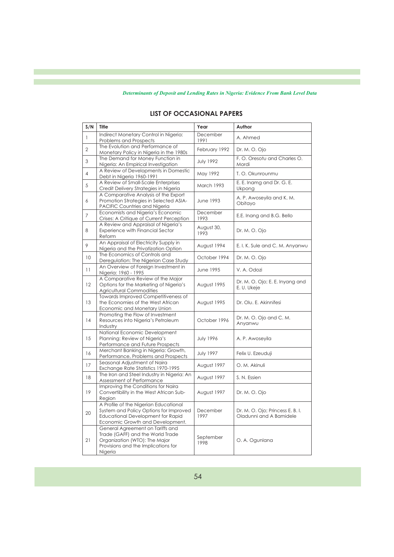| S/N               | <b>Title</b>                                                                                                                                                    | Year               | Author                                                      |
|-------------------|-----------------------------------------------------------------------------------------------------------------------------------------------------------------|--------------------|-------------------------------------------------------------|
| $\mathbf{1}$      | Indirect Monetary Control in Nigeria:<br><b>Problems and Prospects</b>                                                                                          | December<br>1991   | A. Ahmed                                                    |
| $\overline{2}$    | The Evolution and Performance of<br>Monetary Policy in Nigeria in the 1980s                                                                                     | February 1992      | Dr. M. O. Ojo                                               |
| 3                 | The Demand for Money Function in<br>Nigeria: An Empirical Investigation                                                                                         | <b>July 1992</b>   | F. O. Oresotu and Charles O.<br>Mordi                       |
| $\overline{4}$    | A Review of Developments in Domestic<br>Debt in Nigeria 1960-1991                                                                                               | May 1992           | T. O. Okunrounmu                                            |
| 5                 | A Review of Small-Scale Enterprises<br>Credit Delivery Strategies in Nigeria                                                                                    | March 1993         | E. E. Inamg and Dr. G. E.<br>Ukpong                         |
| 6                 | A Comparative Analysis of the Export<br>Promotion Strategies in Selected ASIA-<br><b>PACIFIC Countries and Nigeria</b>                                          | June 1993          | A. P. Awoseyila and K. M.<br>Obitayo                        |
| $\overline{7}$    | Economists and Nigeria's Economic<br>Crises: A Critique of Current Perception                                                                                   | December<br>1993   | E.E. Inang and B.G. Bello                                   |
| 8                 | A Review and Appraisal of Nigeria's<br><b>Experience with Financial Sector</b><br>Reform                                                                        | August 30,<br>1993 | Dr. M. O. Ojo                                               |
| 9                 | An Appraisal of Electricity Supply in<br>Nigeria and the Privatization Option                                                                                   | August 1994        | E. I. K. Sule and C. M. Anyanwu                             |
| 10                | The Economics of Controls and<br>Deregulation: The Nigerian Case Study                                                                                          | October 1994       | Dr. M. O. Ojo                                               |
| 11                | An Overview of Foreign Investment in<br>Nigeria: 1960 - 1995                                                                                                    | June 1995          | V. A. Odozi                                                 |
| $12 \overline{ }$ | A Comparative Review of the Major<br>Options for the Marketing of Nigeria's<br><b>Agricultural Commodities</b>                                                  | August 1995        | Dr. M. O. Ojo; E. E. Inyang and<br>E. U. Ukeje              |
| 13                | Towards Improved Competitiveness of<br>the Economies of the West African<br>Economic and Monetary Union                                                         | August 1995        | Dr. Olu. E. Akinnifesi                                      |
| 14                | Promoting the Flow of Investment<br>Resources into Nigeria's Petroleum<br>Industry                                                                              | October 1996       | Dr. M. O. Ojo and C. M.<br>Anyanwu                          |
| 15                | National Economic Development<br>Planning: Review of Nigeria's<br>Performance and Future Prospects                                                              | <b>July 1996</b>   | A. P. Awoseyila                                             |
| 16                | Merchant Banking in Nigeria: Growth,<br>Performance, Problems and Prospects                                                                                     | <b>July 1997</b>   | Felix U. Ezeuduji                                           |
| 17                | Seasonal Adjustment of Naira<br>Exchange Rate Statistics 1970-1995                                                                                              | August 1997        | O. M. Akinuli                                               |
| 18                | The Iron and Steel Industry in Nigeria: An<br>Assessment of Performance                                                                                         | August 1997        | S. N. Essien                                                |
| 19                | Improving the Conditions for Naira<br>Convertibility in the West African Sub-<br>Region                                                                         | August 1997        | Dr. M. O. Ojo                                               |
| 20                | A Profile of the Nigerian Educational<br>System and Policy Options for Improved<br><b>Educational Development for Rapid</b><br>Economic Growth and Development. | December<br>1997   | Dr. M. O. Ojo; Princess E. B. I.<br>Oladunni and A Bamidele |
| 21                | General Agreement on Tariffs and<br>Trade (GAFF) and the World Trade<br>Organization (WTO): The Major<br>Provisions and the Implications for<br>Nigeria         | September<br>1998  | O. A. Ogunlana                                              |

### **LIST OF OCCASIONAL PAPERS**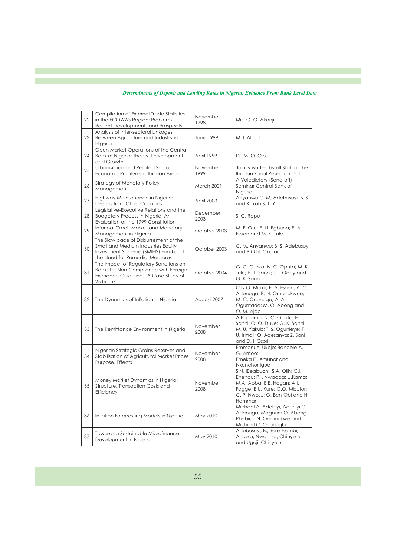| 22 | Compilation of External Trade Statistics<br>in the ECOWAS Region: Problems,<br><b>Recent Developments and Prospects</b>                             | November<br>1998 | Mrs. O. O. Akanji                                                                                                                                                            |
|----|-----------------------------------------------------------------------------------------------------------------------------------------------------|------------------|------------------------------------------------------------------------------------------------------------------------------------------------------------------------------|
| 23 | Analysis of Inter-sectoral Linkages<br>Between Agriculture and Industry in<br>Nigeria                                                               | <b>June 1999</b> | M. I. Abudu                                                                                                                                                                  |
| 24 | Open Market Operations of the Central<br>Bank of Nigeria: Theory, Development<br>and Growth                                                         | April 1999       | Dr. M. O. Ojo                                                                                                                                                                |
| 25 | Urbanisation and Related Socio-<br>Economic Problems in Ibadan Area                                                                                 | November<br>1999 | Jointly written by all Staff of the<br>Ibadan Zonal Research Unit                                                                                                            |
| 26 | <b>Strategy of Monetary Policy</b><br>Management                                                                                                    | March 2001       | A Valedictory (Send-off)<br>Seminar Central Bank of<br>Nigeria                                                                                                               |
| 27 | Highway Maintenance in Nigeria:<br>Lessons from Other Countries                                                                                     | April 2003       | Anyanwu C. M; Adebusuyi, B. S.<br>and Kukah S. T. Y.                                                                                                                         |
| 28 | Legislative-Executive Relations and the<br>Budgetary Process in Nigeria: An<br>Evaluation of the 1999 Constitution                                  | December<br>2003 | S. C. Rapu                                                                                                                                                                   |
| 29 | Informal Credit Market and Monetary<br>Management in Nigeria                                                                                        | October 2003     | M. F. Otu; E. N. Egbuna; E. A.<br>Essien and M. K. Tule                                                                                                                      |
| 30 | The Slow pace of Disbursement of the<br>Small and Medium Industries Equity<br>Investment Scheme (SMIEIS) Fund and<br>the Need for Remedial Measures | October 2003     | C. M. Anyanwu; B. S. Adebusuyi<br>and B.O.N. Okafor                                                                                                                          |
| 31 | The Impact of Regulatory Sanctions on<br>Banks for Non-Compliance with Foreign<br>Exchange Guidelines: A Case Study of<br>25 banks                  | October 2004     | G. C. Osaka; N. C. Oputa; M. K.<br>Tule; H. T. Sanni; L. I. Odey and<br>G. K. Sanni                                                                                          |
| 32 | The Dynamics of Inflation in Nigeria                                                                                                                | August 2007      | C.N.O. Mordi; E. A. Essien; A. O.<br>Adenuga; P. N. Omanukwue;<br>M. C. Ononugo; A. A.<br>Oguntade; M. O. Abeng and<br>O. M. Ajao                                            |
| 33 | The Remittance Environment in Nigeria                                                                                                               | November<br>2008 | A Englama; N. C. Oputa; H. T.<br>Sanni; O. O. Duke; G. K. Sanni;<br>M. U. Yakub; T. S. Ogunleye; F.<br>U. Ismail; O. Adesanya; Z. Sani<br>and D. I. Osori.                   |
| 34 | Nigerian Strategic Grains Reserves and<br>Stabilisation of Agricultural Market Prices<br>Purpose, Effects                                           | November<br>2008 | Emmanuel Ukeje; Bandele A.<br>G. Amoo;<br>Emeka Eluemunor and<br>Nkenchor Igue                                                                                               |
| 35 | Money Market Dynamics in Nigeria:<br>Structure, Transaction Costs and<br>Efficiency                                                                 | November<br>2008 | S.N. IBeabuchi; S.A. Olih; C.I.<br>Enendu; P.I. Nwaoba; U.Kama;<br>M.A. Abba; E.E. Hogan; A.I.<br>Fagge; E.U. Kure; O.O. Mbutor;<br>C. P. Nwosu; O. Ben-Obi and H.<br>Hamman |
| 36 | Inflation Forecasting Models in Nigeria                                                                                                             | May 2010         | Michael A. Adebiyi, Adeniyi O.<br>Adenuga, Magnum O. Abeng,<br>Phebian N. Omanukwe and<br>Michael C. Ononugbo                                                                |
| 37 | Towards a Sustainable Microfinance<br>Development in Nigeria                                                                                        | May 2010         | Adebusuyi, B.; Sere-Ejembi,<br>Angela; Nwaolisa, Chinyere<br>and Ugoji, Chinyelu                                                                                             |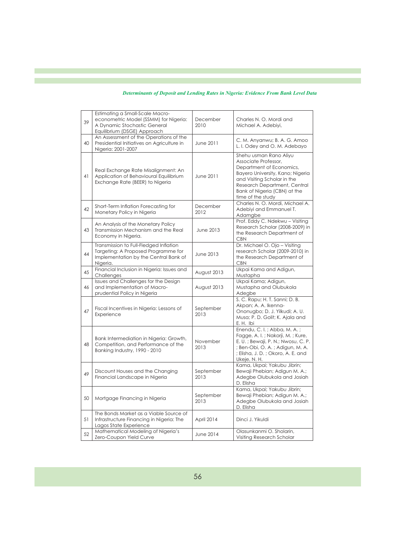| 39 | Estimating a Small-Scale Macro-<br>econometric Model (SSMM) for Nigeria:<br>A Dynamic Stochastic General<br>Equilibrium (DSGE) Approach | December<br>2010  | Charles N. O. Mordi and<br>Michael A. Adebiyi,                                                                                                                                                                                     |
|----|-----------------------------------------------------------------------------------------------------------------------------------------|-------------------|------------------------------------------------------------------------------------------------------------------------------------------------------------------------------------------------------------------------------------|
| 40 | An Assessment of the Operations of the<br>Presidential Initiatives on Agriculture in<br>Nigeria: 2001-2007                              | June 2011         | C. M. Anyanwu; B. A. G. Amoo<br>L. I. Odey and O. M. Adebayo                                                                                                                                                                       |
| 41 | Real Exchange Rate Misalignment: An<br>Application of Behavioural Equilibrium<br>Exchange Rate (BEER) to Nigeria                        | June 2011         | Shehu usman Rano Aliyu<br>Associate Professor,<br>Department of Economics,<br>Bayero University, Kano; Nigeria<br>and Visiting Scholar in the<br>Research Department, Central<br>Bank of Nigeria (CBN) at the<br>time of the study |
| 42 | Short-Term Inflation Forecasting for<br>Monetary Policy in Nigeria                                                                      | December<br>2012  | Charles N. O. Mordi, Michael A.<br>Adebiyi and Emmanuel T.<br>Adamgbe                                                                                                                                                              |
| 43 | An Analysis of the Monetary Policy<br>Transmission Mechanism and the Real<br>Economy in Nigeria.                                        | <b>June 2013</b>  | Prof. Eddy C. Ndekwu - Visiting<br>Research Scholar (2008-2009) in<br>the Research Department of<br><b>CBN</b>                                                                                                                     |
| 44 | Transmission to Full-Fledged Inflation<br>Targeting: A Proposed Programme for<br>Implementation by the Central Bank of<br>Nigeria.      | June 2013         | Dr. Michael O. Ojo - Visiting<br>research Scholar (2009-2010) in<br>the Research Department of<br><b>CBN</b>                                                                                                                       |
| 45 | Financial Inclusion in Nigeria: Issues and<br>Challenges                                                                                | August 2013       | Ukpai Kama and Adigun,<br>Mustapha                                                                                                                                                                                                 |
| 46 | Issues and Challenges for the Design<br>and Implementation of Macro-<br>prudential Policy in Nigeria                                    | August 2013       | Ukpai Kama; Adigun,<br>Mustapha and Olubukola<br>Adegbe                                                                                                                                                                            |
| 47 | Fiscal Incentives in Nigeria: Lessons of<br>Experience                                                                                  | September<br>2013 | S. C. Rapu; H. T. Sanni; D. B.<br>Akpan; A. A. Ikenna-<br>Ononugbo; D. J. Yilkudi; A. U.<br>Musa; P. D. Golit; K. Ajala and<br>E.H. Ibi                                                                                            |
| 48 | Bank Intermediation in Nigeria: Growth,<br>Competition, and Performance of the<br>Banking Industry, 1990 - 2010                         | November<br>2013  | Enendu, C. I.; Abba, M. A.;<br>Fagge, A.I.; Nakorji, M.; Kure,<br>E. U.; Bewaji, P. N.; Nwosu, C. P.<br>; Ben-Obi, O. A.; Adigun, M. A.<br>; Elisha, J. D.; Okoro, A. E. and<br>Ukeje, N. H.                                       |
| 49 | Discount Houses and the Changing<br>Financial Landscape in Nigeria                                                                      | September<br>2013 | Kama, Ukpai; Yakubu Jibrin;<br>Bewaji Phebian; Adigun M. A.;<br>Adegbe Olubukola and Josiah<br>D. Elisha                                                                                                                           |
| 50 | Mortgage Financing in Nigeria                                                                                                           | September<br>2013 | Kama, Ukpai; Yakubu Jibrin;<br>Bewaji Phebian; Adigun M. A.;<br>Adegbe Olubukola and Josiah<br>D. Elisha                                                                                                                           |
| 51 | The Bonds Market as a Viable Source of<br>Infrastructure Financing in Nigeria: The<br>Lagos State Experience                            | April 2014        | Dinci J. Yikuldi                                                                                                                                                                                                                   |
| 52 | Mathematical Modeling of Nigeria's<br>Zero-Coupon Yield Curve                                                                           | June 2014         | Olasunkanmi O. Sholarin,<br>Visiting Research Scholar                                                                                                                                                                              |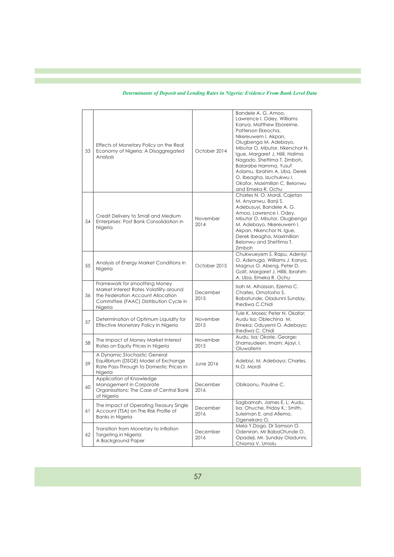| 53 | Effects of Monetary Policy on the Real<br>Economy of Nigeria: A Disaggregated<br>Analysis                                                                          | October 2014     | Bandele A. G. Amoo,<br>Lawrence I. Odey, Williams<br>Kanya, Matthew Eboreime,<br>Patterson Ekeocha,<br>Nkereuwem I. Akpan,<br>Olugbenga M. Adebayo,<br>Mbutor O. Mbutor, Nkenchor N.<br>Igue, Margaret J. Hilili, Halima<br>Nagado, Shettima T. Zimboh,<br>Balarabe Hamma, Yusuf<br>Adamu, Ibrahim A. Uba, Derek<br>O. Ibeagha, Izuchukwu I.<br>Okafor, Maximillan C. Belonwu<br>and Emeka R. Ochu |
|----|--------------------------------------------------------------------------------------------------------------------------------------------------------------------|------------------|----------------------------------------------------------------------------------------------------------------------------------------------------------------------------------------------------------------------------------------------------------------------------------------------------------------------------------------------------------------------------------------------------|
| 54 | Credit Delivery to Small and Medium<br>Enterprises: Post Bank Consolidation in<br>Nigeria                                                                          | November<br>2014 | Charles N. O. Mordi, Cajetan<br>M. Anyanwu, Banji S.<br>Adebusuyi, Bandele A. G.<br>Amoo, Lawrence I. Odey,<br>Mbutor O. Mbutor, Olugbenga<br>M. Adebayo, Nkereuwem I.<br>Akpan, Nkenchor N. Igue,<br>Derek Ibeagha, Maximillian<br>Belonwu and Shettima T.<br>Zimboh                                                                                                                              |
| 55 | Analysis of Energy Market Conditions in<br>Nigeria                                                                                                                 | October 2015     | Chukwueyem S. Rapu, Adeniyi<br>O. Adenuga, Williams J. Kanya,<br>Magnus O. Abeng, Peter D.<br>Golit, Margaret J. Hillili, Ibrahim<br>A. Uba, Emeka R. Ochu                                                                                                                                                                                                                                         |
| 56 | Framework for smoothing Money<br>Market Interest Rates Volatility around<br>the Federation Account Allocation<br>Committee (FAAC) Distribution Cycle in<br>Nigeria | December<br>2015 | Isah M. Alhassan, Ezema C.<br>Charles, Omotosho S.<br>Babatunde, Oladunni Sunday,<br>Ihediwa C.Chidi                                                                                                                                                                                                                                                                                               |
| 57 | Determination of Optimum Liquidity for<br>Effective Monetary Policy In Nigeria                                                                                     | November<br>2015 | Tule K. Moses: Peter N. Okafor:<br>Audu Isa; Obiechina M.<br>Emeka; Oduyemi O. Adebayo;<br>Ihediwa C. Chidi                                                                                                                                                                                                                                                                                        |
| 58 | The Impact of Money Market Interest<br>Rates on Equity Prices in Nigeria                                                                                           | November<br>2015 | Audu, Isa; Okorie, George;<br>Shamsudeen, Imam; Ajayi, I.<br>Oluwafemi                                                                                                                                                                                                                                                                                                                             |
| 59 | A Dynamic Stochastic General<br>Equilibrium (DSGE) Model of Exchange<br>Rate Pass-Through to Domestic Prices in<br>Nigeria                                         | June 2016        | Adebiyi, M. Adebayo; Charles,<br>N.O. Mordi                                                                                                                                                                                                                                                                                                                                                        |
| 60 | Application of Knowledge<br>Management in Corporate<br>Organisations: The Case of Central Bank<br>of Nigeria                                                       | December<br>2016 | Obikaonu, Pauline C.                                                                                                                                                                                                                                                                                                                                                                               |
| 61 | The Impact of Operating Treasury Single<br>Account (TSA) on The Risk Profile of<br><b>Banks in Nigeria</b>                                                         | December<br>2016 | Sagbamah, James E. L; Audu,<br>Isa; Ohuche, Friday K.; Smith,<br>Suleiman E. and Afiemo,<br>Ogenekaro O.                                                                                                                                                                                                                                                                                           |
| 62 | Transition from Monetary to Inflation<br>Targeting in Nigeria:<br>A Background Paper                                                                               | December<br>2016 | Mela Y.Dogo, Dr Samson O.<br>Odeniran, Mr BabaOtunde O.<br>Opadeji, Mr. Sunday Oladunni,<br>Chioma V. Umolu                                                                                                                                                                                                                                                                                        |